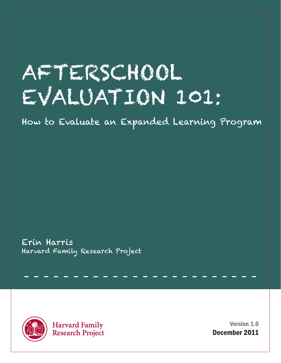# AFTERSCHOOL EVALUATION 101:

How to Evaluate an Expanded Learning Program

- - - - - - - - - - - - - - - - - - - - - - - -

Erin Harris Harvard Family Research Project



**Harvard Family Research Project** 

Version 1.0 December 2011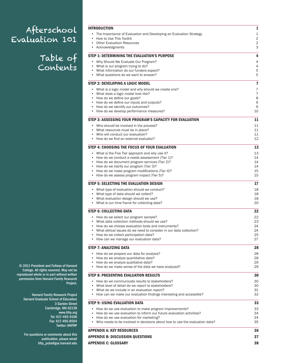# Afterschool Evaluation 101

Table of Contents

| <b>INTRODUCTION</b>                                                                                                            | 1                       |
|--------------------------------------------------------------------------------------------------------------------------------|-------------------------|
| The Importance of Evaluation and Developing an Evaluation Strategy<br>How to Use This Toolkit<br>$\bullet$                     | 1<br>2                  |
| <b>Other Evaluation Resources</b><br>Acknowledgments                                                                           | 2<br>3                  |
| STEP 1: DETERMINING THE EVALUATION'S PURPOSE                                                                                   | 4                       |
| • Why Should We Evaluate Our Program?                                                                                          | 4                       |
| What is our program trying to do?<br>$\bullet$                                                                                 | 4                       |
| What information do our funders expect?<br>What questions do we want to answer?                                                | 5<br>5                  |
| <b>STEP 2: DEVELOPING A LOGIC MODEL</b>                                                                                        | $\overline{\mathbf{r}}$ |
| • What is a logic model and why should we create one?                                                                          | 7                       |
| What does a logic model look like?<br>$\bullet$                                                                                | $\overline{7}$          |
| • How do we define our goals?                                                                                                  | 8                       |
| How do we define our inputs and outputs?                                                                                       | 9<br>9                  |
| How do we identify our outcomes?<br>$\bullet$<br>How do we develop performance measures?                                       | 10                      |
| STEP 3: ASSESSING YOUR PROGRAM'S CAPACITY FOR EVALUATION                                                                       | 11                      |
| • Who should be involved in the process?                                                                                       | 11                      |
| • What resources must be in place?                                                                                             | 11                      |
| Who will conduct our evaluation?<br>$\bullet$<br>How do we find an external evaluator?                                         | 11<br>12                |
|                                                                                                                                |                         |
| STEP 4: CHOOSING THE FOCUS OF YOUR EVALUATION<br>• What is the Five Tier approach and why use it?                              | 13<br>13                |
| How do we conduct a needs assessment (Tier 1)?                                                                                 | 14                      |
| • How do we document program services (Tier 2)?                                                                                | 14                      |
| How do we clarify our program (Tier 3)?                                                                                        | 14                      |
| How do we make program modifications (Tier 4)?                                                                                 | 15                      |
| How do we assess program impact (Tier 5)?                                                                                      | 15                      |
| <b>STEP 5: SELECTING THE EVALUATION DESIGN</b>                                                                                 | 17                      |
| • What type of evaluation should we conduct?<br>What type of data should we collect?                                           | 18<br>18                |
| What evaluation design should we use?                                                                                          | 18                      |
| • What is our time frame for collecting data?                                                                                  | 20                      |
| <b>STEP 6: COLLECTING DATA</b>                                                                                                 | 22                      |
| • How do we select our program sample?                                                                                         | 22                      |
| What data collection methods should we use?                                                                                    | 23                      |
| How do we choose evaluation tools and instruments?                                                                             | 24                      |
| What ethical issues do we need to consider in our data collection?<br>How do we collect participation data?                    | 24<br>25                |
| How can we manage our evaluation data?<br>$\bullet$                                                                            | 27                      |
| <b>STEP 7: ANALYZING DATA</b>                                                                                                  | 28                      |
| • How do we prepare our data for analysis?                                                                                     | 28                      |
| How do we analyze quantitative data?<br>$\bullet$                                                                              | 28                      |
| How do we analyze qualitative data?<br>• How do we make sense of the data we have analyzed?                                    | 29<br>29                |
| <b>STEP 8: PRESENTING EVALUATION RESULTS</b>                                                                                   | 30                      |
| • How do we communicate results to stakeholders?                                                                               | 30                      |
| • What level of detail do we report to stakeholders?                                                                           | 30                      |
| What do we include in an evaluation report?                                                                                    | 31                      |
| • How can we make our evaluation findings interesting and accessible?                                                          | 32                      |
| <b>STEP 9: USING EVALUATION DATA</b>                                                                                           | 33                      |
| • How do we use evaluation to make program improvements?                                                                       | 33                      |
| • How do we use evaluation to inform our future evaluation activities?<br>How do we use evaluation for marketing?<br>$\bullet$ | 34<br>34                |
| • Who needs to be involved in decisions about how to use the evaluation data?                                                  | 35                      |
| <b>APPENDIX A: KEY RESOURCES</b>                                                                                               | 36                      |
| <b>APPENDIX B: DISCUSSION QUESTIONS</b>                                                                                        | 37                      |
|                                                                                                                                |                         |
| <b>APPENDIX C: GLOSSARY</b>                                                                                                    | 38                      |

© 2011 President and Fellows of Harvard College. All rights reserved. May not be reproduced whole or in part without written permission from Harvard Family Research Project.

> Harvard Family Research Project Harvard Graduate School of Education 3 Garden Street Cambridge, MA 02138 [www.hfrp.org](http://www.hfrp.org ) Tel: 617-495-9108 Fax: 617-495-8594 [Twitter: @HFRP](http://twitter.com/hfrp)

For questions or comments about this publication, please email [hfrp\\_pubs@gse.harvard.edu](mailto:hfrp_pubs%40gse.harvard.edu?subject=Afterschool%20Evaluation%20101)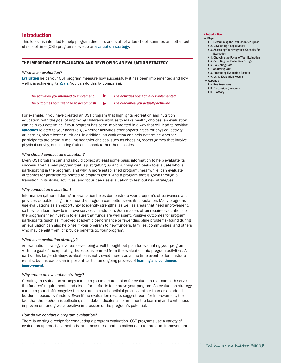# <span id="page-2-1"></span><span id="page-2-0"></span>Introduction

This toolkit is intended to help program directors and staff of afterschool, summer, and other outof-school time (OST) programs develop an [evaluation strategy](#page-39-1).

## THE IMPORTANCE OF EVALUATION AND DEVELOPING AN EVALUATION STRATEGY

#### *What is an evaluation?*

[Evaluation](#page-39-1) helps your OST program measure how successfully it has been implemented and how well it is achieving its [goals](#page-39-1). You can do this by comparing:

| The activities you intended to implement | The activities you actually implemented |
|------------------------------------------|-----------------------------------------|
| The outcomes you intended to accomplish  | The outcomes you actually achieved      |

For example, if you have created an OST program that highlights recreation and nutrition education, with the goal of improving children's abilities to make healthy choices, an evaluation can help you determine if your program has been implemented in a way that will lead to positive [outcomes](#page-40-0) related to your goals (e.g., whether activities offer opportunities for physical activity or learning about better nutrition). In addition, an evaluation can help determine whether participants are actually making healthier choices, such as choosing recess games that involve physical activity, or selecting fruit as a snack rather than cookies.

#### *Who should conduct an evaluation?*

Every OST program can and should collect at least some basic information to help evaluate its success. Even a new program that is just getting up and running can begin to evaluate who is participating in the program, and why. A more established program, meanwhile, can evaluate outcomes for participants related to program goals. And a program that is going through a transition in its goals, activities, and focus can use evaluation to test out new strategies.

#### *Why conduct an evaluation?*

Information gathered during an evaluation helps demonstrate your program's effectiveness and provides valuable insight into how the program can better serve its population. Many programs use evaluations as an opportunity to identify strengths, as well as areas that need improvement, so they can learn how to improve services. In addition, grantmakers often require evaluations of the programs they invest in to ensure that funds are well spent. Positive outcomes for program participants (such as improved academic performance or fewer discipline problems) found during an evaluation can also help "sell" your program to new funders, families, communities, and others who may benefit from, or provide benefits to, your program.

#### *What is an evaluation strategy?*

An evaluation strategy involves developing a well-thought out plan for evaluating your program, with the goal of incorporating the lessons learned from the evaluation into program activities. As part of this larger strategy, evaluation is not viewed merely as a one-time event to demonstrate results, but instead as an important part of an ongoing process of learning and continuous [improvement](#page-40-1).

#### *Why create an evaluation strategy?*

Creating an evaluation strategy can help you to create a plan for evaluation that can both serve the funders' requirements and also inform efforts to improve your program. An evaluation strategy can help your staff recognize the evaluation as a beneficial process, rather than as an added burden imposed by funders. Even if the evaluation results suggest room for improvement, the fact that the program is collecting such data indicates a commitment to learning and continuous improvement and gives a positive impression of the program's potential.

#### *How do we conduct a program evaluation?*

There is no single recipe for conducting a program evaluation. OST programs use a variety of evaluation approaches, methods, and measures—both to collect data for program improvement

## } [Introduction](#page-2-1)

- $S$ tens
	- } [1. Determining the Evaluation's Purpose](#page-5-1)
	- ▶ [2. Developing a Logic Model](#page-8-1) ▶ 3. Assessing Your Program's Capacity for
	-
	- [Evaluation](#page-12-1) ▶ 4. Choosing the Focus of Your Evaluation
	- ▶ [5. Selecting the Evaluation Design](#page-18-1)
	- ▶ [6. Collecting Data](#page-23-1)
	- ▶ [7. Analyzing Data](#page-29-1)
	- ▶ [8. Presenting Evaluation Results](#page-31-1)
	- ▶ 9. Using Evaluation Results
	- **Exercise**
	- ▶ [A. Key Resources](#page-37-1)
	- ▶ [B. Discussion Questions](#page-38-1)
	- ▶ [C. Glossary](#page-39-2)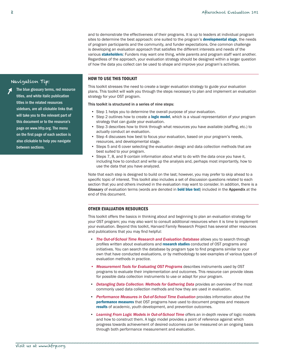and to demonstrate the effectiveness of their programs. It is up to leaders at individual program sites to determine the best approach: one suited to the program's [developmental stage](#page-39-2), the needs of program participants and the community, and funder expectations. One common challenge is developing an evaluation approach that satisfies the different interests and needs of the various **[stakeholders](#page-42-0)**: Funders may want one thing, while parents and program staff want another. Regardless of the approach, your evaluation strategy should be designed within a larger question of how the data you collect can be used to shape and improve your program's activities.

## HOW TO USE THIS TOOLKIT

This toolkit stresses the need to create a larger evaluation strategy to guide your evaluation plans. This toolkit will walk you through the steps necessary to plan and implement an evaluation strategy for your OST program.

#### This toolkit is structured in a series of nine steps:

- Step 1 helps you to determine the overall purpose of your evaluation.
- Step 2 outlines how to create a [logic model](#page-40-1), which is a visual representation of your program strategy that can guide your evaluation.
- Step 3 describes how to think through what resources you have available (staffing, etc.) to actually conduct an evaluation.
- • Step 4 discusses how best to focus your evaluation, based on your program's needs, resources, and developmental stage.
- Steps 5 and 6 cover selecting the evaluation design and data collection methods that are best suited to your program.
- Steps 7, 8, and 9 contain information about what to do with the data once you have it, including how to conduct and write up the analysis and, perhaps most importantly, how to use the data that you have analyzed.

Note that each step is designed to build on the last; however, you may prefer to skip ahead to a specific topic of interest. This toolkit also includes a set of discussion questions related to each section that you and others involved in the evaluation may want to consider. In addition, there is a Glossary of evaluation terms (words are denoted in **bold blue text**) included in the Appendix at the end of this document.

## OTHER EVALUATION RESOURCES

This toolkit offers the basics in thinking about and beginning to plan an evaluation strategy for your OST program; you may also want to consult additional resources when it is time to implement your evaluation. Beyond this toolkit, Harvard Family Research Project has several other resources and publications that you may find helpful:

- • *[The Out-of-School Time Research and Evaluation Database](http://hfrp.org/OSTDatabase)* allows you to search through profiles written about evaluations and [research studies](#page-41-0) conducted of OST programs and initiatives. You can search the database by program type to find programs similar to your own that have conducted evaluations, or by methodology to see examples of various types of evaluation methods in practice.
- • *[Measurement Tools for Evaluating OST Programs](http://hfrp.org/OSTMeasurementTools)* describes instruments used by OST programs to evaluate their implementation and outcomes. This resource can provide ideas for possible data collection instruments to use or adapt for your program.
- **[Detangling Data Collection: Methods for Gathering Data](http://hfrp.org/DetanglingDataCollection)** provides an overview of the most commonly used data collection methods and how they are used in evaluation.
- • *[Performance Measures in Out-of-School Time Evaluation](http://hfrp.org/PerformanceMeasuresinOSTEvaluation)* provides information about the [performance measures](#page-40-0) that OST programs have used to document progress and measure [results](#page-41-0) of academic, youth development, and prevention outcomes.
- **[Learning From Logic Models in Out-of-School Time](http://www.hfrp.org/out-of-school-time/publications-resources/learning-from-logic-models-in-out-of-school-time)** offers an in-depth review of logic models and how to construct them. A logic model provides a point of reference against which progress towards achievement of desired outcomes can be measured on an ongoing basis through both performance measurement and evaluation.

\_\_\_\_\_\_\_\_\_\_\_\_\_\_\_\_\_\_\_\_\_\_\_\_\_\_\_\_\_\_\_\_\_\_\_\_\_\_\_\_\_\_\_\_\_\_\_\_\_\_\_\_\_\_\_\_\_\_\_\_\_\_\_\_\_\_\_\_\_\_\_\_\_\_\_\_\_\_\_\_\_\_\_\_\_\_\_

# <span id="page-3-0"></span>Navigation Tip:

The blue glossary terms, red resource titles, and white italic publication titles in the related resources sidebars, are all clickable links that will take you to the relevant part of this document or to the resource's page on [www.hfrp.org](http://www.hfrp.org). The menu on the first page of each section is also clickable to help you navigate between sections.  $\overline{r}$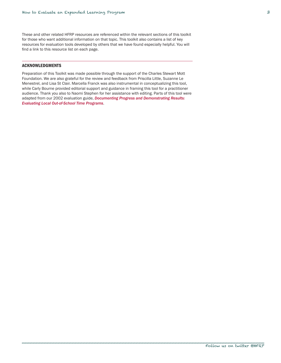<span id="page-4-0"></span>These and other related HFRP resources are referenced within the relevant sections of this toolkit for those who want additional information on that topic. This toolkit also contains a list of key resources for evaluation tools developed by others that we have found especially helpful. You will find a link to this resource list on each page.

## ACKNOWLEDGMENTS

Preparation of this Toolkit was made possible through the support of the Charles Stewart Mott Foundation. We are also grateful for the review and feedback from Priscilla Little, Suzanne Le Menestrel, and Lisa St Clair. Marcella Franck was also instrumental in conceptualizing this tool, while Carly Bourne provided editorial support and guidance in framing this tool for a practitioner audience. Thank you also to Naomi Stephen for her assistance with editing. Parts of this tool were adapted from our 2002 evaluation guide, *[Documenting Progress and Demonstrating Results:](http://hfrp.org/DocumentingProgress)  [Evaluating Local Out-of-School Time Programs](http://hfrp.org/DocumentingProgress)*.

\_\_\_\_\_\_\_\_\_\_\_\_\_\_\_\_\_\_\_\_\_\_\_\_\_\_\_\_\_\_\_\_\_\_\_\_\_\_\_\_\_\_\_\_\_\_\_\_\_\_\_\_\_\_\_\_\_\_\_\_\_\_\_\_\_\_\_\_\_\_\_\_\_\_\_\_\_\_\_\_\_\_\_\_\_\_\_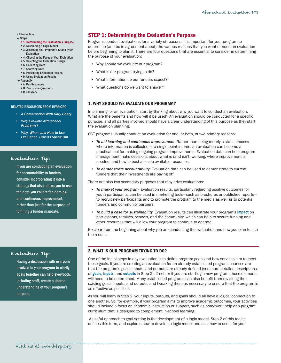#### <span id="page-5-0"></span>**[Introduction](#page-2-1)**

#### $S$ tens

- } [1. Determining the Evaluation's Purpose](#page-5-1)
- ▶ [2. Developing a Logic Model](#page-8-1)
- ▶ 3. Assessing Your Program's Capacity for [Evaluation](#page-12-1)
- ▶ 4. Choosing the Focus of Your Evaluation
- ▶ [5. Selecting the Evaluation Design](#page-18-1)
- ▶ [6. Collecting Data](#page-23-1)
- ▶ [7. Analyzing Data](#page-29-1)
- ▶ [8. Presenting Evaluation Results](#page-31-1) ▶ 9. Using Evaluation Results
- [Appendix](#page-37-1)
- ▶ [A. Key Resources](#page-37-1)
- ▶ [B. Discussion Questions](#page-38-1)
- ▶ [C. Glossary](#page-39-2)

#### RELATED RESOURCES FROM HFRP.ORG

- *• [A Conversation With Gary Henry](http://www.hfrp.org/evaluation/the-evaluation-exchange/issue-archive/evaluation-methodology/a-conversation-with-gary-henry)*
- *Why Evaluate Afterschool [Programs?](http://www.hfrp.org/evaluation/the-evaluation-exchange/issue-archive/out-of-school-time-issue-2/why-evaluate-after-school-programs)*
- *• [Why, When, and How to Use](http://www.hfrp.org/publications-resources/browse-our-publications/why-when-and-how-to-use-evaluation-experts-speak-out)  [Evaluation: Experts Speak Out](http://www.hfrp.org/publications-resources/browse-our-publications/why-when-and-how-to-use-evaluation-experts-speak-out)*

## Evaluation Tip:

If you are conducting an evaluation for accountability to funders, consider incorporating it into a strategy that also allows you to use the data you collect for learning and continuous improvement, rather than just for the purpose of fulfilling a funder mandate.

## Evaluation Tip:

Having a discussion with everyone involved in your program to clarify goals together can help everybody, including staff, create a shared understanding of your program's purpose.

# <span id="page-5-1"></span>STEP 1: Determining the Evaluation's Purpose

Programs conduct evaluations for a variety of reasons. It is important for your program to determine (and be in agreement about) the various reasons that you want or need an evaluation before beginning to plan it. There are four questions that are essential to consider in determining the purpose of your evaluation:

- • Why should we evaluate our program?
- What is our program trying to do?
- • What information do our funders expect?
- What questions do we want to answer?

## 1. WHY SHOULD WE EVALUATE OUR PROGRAM?

In planning for an evaluation, start by thinking about why you want to conduct an evaluation. What are the benefits and how will it be used? An evaluation should be conducted for a specific purpose, and all parties involved should have a clear understanding of this purpose as they start the evaluation planning.

OST programs usually conduct an evaluation for one, or both, of two primary reasons:

- *• To aid learning and continuous improvement.* Rather than being merely a static process where information is collected at a single point in time, an evaluation can become a practical tool for making ongoing program improvements. Evaluation data can help program management make decisions about what is (and isn't) working, where improvement is needed, and how to best allocate available resources.
- **To demonstrate accountability.** Evaluation data can be used to demonstrate to current funders that their investments are paying off.

There are also two secondary purposes that may drive evaluations:

- • *To market your program.* Evaluation results, particularly regarding positive outcomes for youth participants, can be used in marketing tools—such as brochures or published reports to recruit new participants and to promote the program to the media as well as to potential funders and community partners.
- • *To build a case for sustainability.* Evaluation results can illustrate your program's impact on participants, families, schools, and the community, which can help to secure funding and other resources that will allow your program to continue to operate.

Be clear from the beginning about why you are conducting the evaluation and how you plan to use the results.

## 2. WHAT IS OUR PROGRAM TRYING TO DO?

One of the initial steps in any evaluation is to define program goals and how services aim to meet these goals. If you are creating an evaluation for an already-established program, chances are that the program's goals, inputs, and outputs are already defined (see more detailed descriptions of [goals](#page-39-1), [inputs](#page-40-1), and [outputs](#page-40-0) in Step 2). If not, or if you are starting a new program, these elements will need to be determined. Many established programs can also benefit from revisiting their existing goals, inputs, and outputs, and tweaking them as necessary to ensure that the program is as effective as possible.

As you will learn in Step 2, your inputs, outputs, and goals should all have a logical connection to one another. So, for example, if your program aims to improve academic outcomes, your activities should include a focus on academic instruction or support, such as homework help or a program curriculum that is designed to complement in-school learning.

A useful approach to goal-setting is the development of a logic model. Step 2 of this toolkit defines this term, and explores how to develop a logic model and also how to use it for your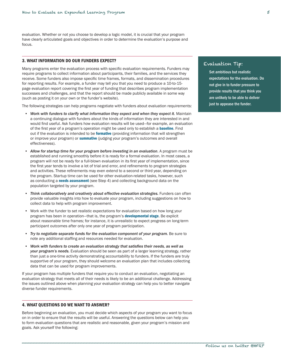<span id="page-6-0"></span>evaluation. Whether or not you choose to develop a logic model, it is crucial that your program have clearly articulated goals and objectives in order to determine the evaluation's purpose and focus.

## 3. WHAT INFORMATION DO OUR FUNDERS EXPECT?

Many programs enter the evaluation process with specific evaluation requirements. Funders may require programs to collect information about participants, their families, and the services they receive. Some funders also impose specific time frames, formats, and dissemination procedures for reporting results. For example, a funder may tell you that you need to produce a 10-to-15 page evaluation report covering the first year of funding that describes program implementation successes and challenges, and that the report should be made publicly available in some way (such as posting it on your own or the funder's website).

The following strategies can help programs negotiate with funders about evaluation requirements:

- • *Work with funders to clarify what information they expect and when they expect it.* Maintain a continuing dialogue with funders about the kinds of information they are interested in and would find useful. Ask funders how evaluation results will be used—for example, an evaluation of the first year of a program's operation might be used only to establish a **[baseline](#page-39-2)**. Find out if the evaluation is intended to be [formative](#page-39-1) (providing information that will strengthen or improve your program) or [summative](#page-42-0) (judging your program's outcomes and overall effectiveness).
- • *Allow for startup time for your program before investing in an evaluation*. A program must be established and running smoothly before it is ready for a formal evaluation. In most cases, a program will not be ready for a full-blown evaluation in its first year of implementation, since the first year tends to involve a lot of trial and error, and refinements to program strategies and activities. These refinements may even extend to a second or third year, depending on the program. Startup time can be used for other evaluation-related tasks, however, such as conducting a [needs assessment](#page-40-0) (see Step 4) and collecting background data on the population targeted by your program.
- **Think collaboratively and creatively about effective evaluation strategies.** Funders can often provide valuable insights into how to evaluate your program, including suggestions on how to collect data to help with program improvement.
- • Work with the funder to set realistic expectations for evaluation based on how long your program has been in operation—that is, the program's [developmental stage](#page-39-1). Be explicit about reasonable time frames; for instance, it is unrealistic to expect progress on long-term participant outcomes after only one year of program participation.
- • *Try to negotiate separate funds for the evaluation component of your program.* Be sure to note any additional staffing and resources needed for evaluation.
- • *Work with funders to create an evaluation strategy that satisfies their needs, as well as your program's needs.* Evaluation should be seen as part of a larger learning strategy, rather than just a one-time activity demonstrating accountability to funders. If the funders are truly supportive of your program, they should welcome an evaluation plan that includes collecting data that can be used for program improvements.

If your program has multiple funders that require you to conduct an evaluation, negotiating an evaluation strategy that meets all of their needs is likely to be an additional challenge. Addressing the issues outlined above when planning your evaluation strategy can help you to better navigate diverse funder requirements.

## 4. WHAT QUESTIONS DO WE WANT TO ANSWER?

Before beginning an evaluation, you must decide which aspects of your program you want to focus on in order to ensure that the results will be useful. Answering the questions below can help you to form evaluation questions that are realistic and reasonable, given your program's mission and goals. Ask yourself the following:

## Evaluation Tip:

Set ambitious but realistic expectations for the evaluation. Do not give in to funder pressure to provide results that you think you are unlikely to be able to deliver just to appease the funder.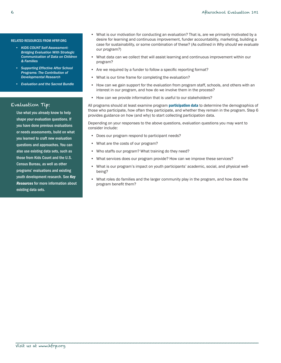#### RELATED RESOURCES FROM HFRP.ORG

- *• [KIDS COUNT Self-Assessment:](http://www.hfrp.org/evaluation/the-evaluation-exchange/issue-archive/strategic-communications/kids-count-self-assessment-bridging-evaluation-with-strategic-communication-of-data-on-children-families)  [Bridging Evaluation With Strategic](http://www.hfrp.org/evaluation/the-evaluation-exchange/issue-archive/strategic-communications/kids-count-self-assessment-bridging-evaluation-with-strategic-communication-of-data-on-children-families)  [Communication of Data on Children](http://www.hfrp.org/evaluation/the-evaluation-exchange/issue-archive/strategic-communications/kids-count-self-assessment-bridging-evaluation-with-strategic-communication-of-data-on-children-families)  [& Families](http://www.hfrp.org/evaluation/the-evaluation-exchange/issue-archive/strategic-communications/kids-count-self-assessment-bridging-evaluation-with-strategic-communication-of-data-on-children-families)*
- *• [Supporting Effective After School](http://www.hfrp.org/evaluation/the-evaluation-exchange/issue-archive/out-of-school-time-issue-2/supporting-effective-after-school-programs-the-contribution-of-developmental-research)  [Programs: The Contribution of](http://www.hfrp.org/evaluation/the-evaluation-exchange/issue-archive/out-of-school-time-issue-2/supporting-effective-after-school-programs-the-contribution-of-developmental-research)  [Developmental Research](http://www.hfrp.org/evaluation/the-evaluation-exchange/issue-archive/out-of-school-time-issue-2/supporting-effective-after-school-programs-the-contribution-of-developmental-research)*
- *• [Evaluation and the Sacred Bundle](http://www.hfrp.org/evaluation/the-evaluation-exchange/issue-archive/evaluation-methodology/evaluation-and-the-sacred-bundle)*

## Evaluation Tip:

Use what you already know to help shape your evaluation questions. If you have done previous evaluations or needs assessments, build on what you learned to craft new evaluation questions and approaches. You can also use existing data sets, such as those from Kids Count and the U.S. Census Bureau, as well as other programs' evaluations and existing youth development research. See *Key Resources* for more information about existing data sets.

- • What is our motivation for conducting an evaluation? That is, are we primarily motivated by a desire for learning and continuous improvement, funder accountability, marketing, building a case for sustainability, or some combination of these? (As outlined in *Why should we evaluate our program?*)
- What data can we collect that will assist learning and continuous improvement within our program?
- Are we required by a funder to follow a specific reporting format?
- What is our time frame for completing the evaluation?
- How can we gain support for the evaluation from program staff, schools, and others with an interest in our program, and how do we involve them in the process?
- How can we provide information that is useful to our stakeholders?

All programs should at least examine program **[participation data](#page-40-0)** to determine the demographics of those who participate, how often they participate, and whether they remain in the program. Step 6 provides guidance on how (and why) to start collecting participation data.

Depending on your responses to the above questions, evaluation questions you may want to consider include:

- • Does our program respond to participant needs?
- • What are the costs of our program?
- Who staffs our program? What training do they need?

\_\_\_\_\_\_\_\_\_\_\_\_\_\_\_\_\_\_\_\_\_\_\_\_\_\_\_\_\_\_\_\_\_\_\_\_\_\_\_\_\_\_\_\_\_\_\_\_\_\_\_\_\_\_\_\_\_\_\_\_\_\_\_\_\_\_\_\_\_\_\_\_\_\_\_\_\_\_\_\_\_\_\_\_\_\_\_

- What services does our program provide? How can we improve these services?
- What is our program's impact on youth participants' academic, social, and physical wellbeing?
- What roles do families and the larger community play in the program, and how does the program benefit them?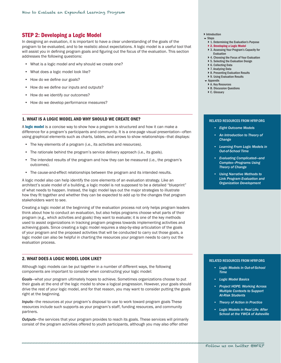## <span id="page-8-1"></span><span id="page-8-0"></span>STEP 2: Developing a Logic Model

In designing an evaluation, it is important to have a clear understanding of the goals of the program to be evaluated, and to be realistic about expectations. A logic model is a useful tool that will assist you in defining program goals and figuring out the focus of the evaluation. This section addresses the following questions:

- What is a logic model and why should we create one?
- • What does a logic model look like?
- How do we define our goals?
- How do we define our inputs and outputs?
- How do we identify our outcomes?
- How do we develop performance measures?

#### 1. WHAT IS A LOGIC MODEL AND WHY SHOULD WE CREATE ONE?

A [logic model](#page-40-1) is a concise way to show how a program is structured and how it can make a difference for a program's participants and community. It is a one-page visual presentation—often using graphical elements such as charts, tables, and arrows to show relationships—that displays:

- The key elements of a program (i.e., its activities and resources).
- The rationale behind the program's service delivery approach (i.e., its goals).
- The intended results of the program and how they can be measured (i.e., the program's outcomes).
- The cause-and-effect relationships between the program and its intended results.

A logic model also can help identify the core elements of an evaluation strategy. Like an architect's scale model of a building, a logic model is not supposed to be a detailed "blueprint" of what needs to happen. Instead, the logic model lays out the major strategies to illustrate how they fit together and whether they can be expected to add up to the changes that program stakeholders want to see.

Creating a logic model at the beginning of the evaluation process not only helps program leaders think about how to conduct an evaluation, but also helps programs choose what parts of their program (e.g., which activities and goals) they want to evaluate; it is one of the key methods used to assist organizations in tracking program progress towards implementing activities and achieving goals. Since creating a logic model requires a step-by-step articulation of the goals of your program and the proposed activities that will be conducted to carry out those goals, a logic model can also be helpful in charting the resources your program needs to carry out the evaluation process.

#### 2. WHAT DOES A LOGIC MODEL LOOK LIKE?

Although logic models can be put together in a number of different ways, the following components are important to consider when constructing your logic model:

*Goals*—what your program ultimately hopes to achieve. Sometimes organizations choose to put their goals at the end of the logic model to show a logical progression. However, your goals should drive the rest of your logic model, and for that reason, you may want to consider putting the goals right at the beginning.

*Inputs*—the resources at your program's disposal to use to work toward program goals These resources include such supports as your program's staff, funding resources, and community partners.

*Outputs*—the services that your program provides to reach its goals. These services will primarily consist of the program activities offered to youth participants, although you may also offer other

- **[Introduction](#page-2-1)**
- $S$ tens
	- } [1. Determining the Evaluation's Purpose](#page-5-1) ▶ [2. Developing a Logic Model](#page-8-1)
	- ▶ 3. Assessing Your Program's Capacity for
	- [Evaluation](#page-12-1)
	- ▶ 4. Choosing the Focus of Your Evaluation
	- ▶ [5. Selecting the Evaluation Design](#page-18-1)
	- ▶ [6. Collecting Data](#page-23-1)
	- ▶ [7. Analyzing Data](#page-29-1)
	- ▶ [8. Presenting Evaluation Results](#page-31-1) ▶ 9. Using Evaluation Results
	-
- **Exercise** ▶ [A. Key Resources](#page-37-1)
- ▶ [B. Discussion Questions](#page-38-1)
- ▶ [C. Glossary](#page-39-2)

## RELATED RESOURCES FROM HFRP.ORG

- *• [Eight Outcome Models](http://www.hfrp.org/evaluation/the-evaluation-exchange/issue-archive/evaluation-methodology/eight-outcome-models)*
- *• [An Introduction to Theory of](http://www.hfrp.org/evaluation/the-evaluation-exchange/issue-archive/evaluation-methodology/an-introduction-to-theory-of-change)  [Change](http://www.hfrp.org/evaluation/the-evaluation-exchange/issue-archive/evaluation-methodology/an-introduction-to-theory-of-change)*
- *• [Learning From Logic Models in](http://www.hfrp.org/out-of-school-time/publications-resources/learning-from-logic-models-in-out-of-school-time)  [Out-of-School Time](http://www.hfrp.org/out-of-school-time/publications-resources/learning-from-logic-models-in-out-of-school-time)*
- *• [Evaluating Complicated—and](http://www.hfrp.org/evaluation/the-evaluation-exchange/issue-archive/evaluation-methodology/evaluating-complicated-and-complex-programs-using-theory-of-change)  [Complex—Programs Using](http://www.hfrp.org/evaluation/the-evaluation-exchange/issue-archive/evaluation-methodology/evaluating-complicated-and-complex-programs-using-theory-of-change)  [Theory of Change](http://www.hfrp.org/evaluation/the-evaluation-exchange/issue-archive/evaluation-methodology/evaluating-complicated-and-complex-programs-using-theory-of-change)*
- *Using Narrative Methods to [Link Program Evaluation and](http://www.hfrp.org/evaluation/the-evaluation-exchange/issue-archive/reflecting-on-the-past-and-future-of-evaluation/using-narrative-methods-to-link-program-evaluation-and-organization-development)  [Organization Development](http://www.hfrp.org/evaluation/the-evaluation-exchange/issue-archive/reflecting-on-the-past-and-future-of-evaluation/using-narrative-methods-to-link-program-evaluation-and-organization-development)*

#### RELATED RESOURCES FROM HFRP.ORG

- *• [Logic Models in Out-of-School](http://www.hfrp.org/evaluation/the-evaluation-exchange/issue-archive/evaluating-out-of-school-time/logic-models-in-out-of-school-time)  [Time](http://www.hfrp.org/evaluation/the-evaluation-exchange/issue-archive/evaluating-out-of-school-time/logic-models-in-out-of-school-time)*
- *• [Logic Model Basics](http://www.hfrp.org/evaluation/the-evaluation-exchange/issue-archive/out-of-school-time-issue-2/logic-model-basics)*
- *• [Project HOPE: Working Across](http://www.hfrp.org/evaluation/the-evaluation-exchange/issue-archive/complementary-learning/project-hope-working-across-multiple-contexts-to-support-at-risk-students)  [Multiple Contexts to Support](http://www.hfrp.org/evaluation/the-evaluation-exchange/issue-archive/complementary-learning/project-hope-working-across-multiple-contexts-to-support-at-risk-students)  [At-Risk Students](http://www.hfrp.org/evaluation/the-evaluation-exchange/issue-archive/complementary-learning/project-hope-working-across-multiple-contexts-to-support-at-risk-students)*
- *• [Theory of Action in Practice](http://www.hfrp.org/evaluation/the-evaluation-exchange/issue-archive/professional-development/theory-of-action-in-practice)*
- **Logic Models in Real Life: After** *[School at the YWCA of Asheville](http://www.hfrp.org/evaluation/the-evaluation-exchange/issue-archive/out-of-school-time-issue-2/logic-models-in-real-life-after-school-at-the-ywca-of-asheville)*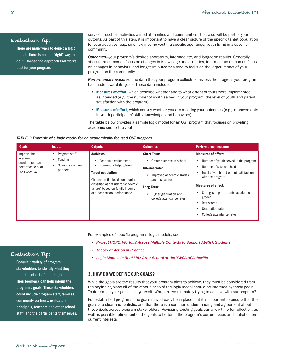# <span id="page-9-0"></span>Evaluation Tip:

There are many ways to depict a logic model—there is no one "right" way to do it. Choose the approach that works best for your program.

services—such as activities aimed at families and communities—that also will be part of your outputs. As part of this step, it is important to have a clear picture of the specific target population for your activities (e.g., girls, low-income youth, a specific age range, youth living in a specific community).

*Outcomes*—your program's desired short-term, intermediate, and long-term results. Generally, short-term outcomes focus on changes in knowledge and attitudes, intermediate outcomes focus on changes in behaviors, and long-term outcomes tend to focus on the larger impact of your program on the community.

*Performance measures*—the data that your program collects to assess the progress your program has made toward its goals. These data include:

- **[Measures of effort](#page-40-1)**, which describe whether and to what extent outputs were implemented as intended (e.g., the number of youth served in your program, the level of youth and parent satisfaction with the program).
- [Measures of effect](#page-40-0), which convey whether you are meeting your outcomes (e.g., improvements in youth participants' skills, knowledge, and behaviors).

The table below provides a sample logic model for an OST program that focuses on providing academic support to youth.

## *TABLE 1: Example of a logic model for an academically focused OST program*

| <b>Goals</b>                                                                       | <b>Inputs</b>                                                          | <b>Outputs</b>                                                                                                                                                                                                                         | <b>Outcomes</b>                                                                                                                                                                     | <b>Performance measures</b>                                                                                                                                                                                                                                                                                     |
|------------------------------------------------------------------------------------|------------------------------------------------------------------------|----------------------------------------------------------------------------------------------------------------------------------------------------------------------------------------------------------------------------------------|-------------------------------------------------------------------------------------------------------------------------------------------------------------------------------------|-----------------------------------------------------------------------------------------------------------------------------------------------------------------------------------------------------------------------------------------------------------------------------------------------------------------|
| Improve the<br>academic<br>development and<br>performance of at-<br>risk students. | Program staff<br><b>Funding</b><br>٠<br>School & community<br>partners | <b>Activities:</b><br>Academic enrichment<br>Homework help/tutoring<br>Target population:<br>Children in the local community<br>classified as "at risk for academic<br>failure" based on family income<br>and poor school performance. | <b>Short-Term:</b><br>Greater interest in school<br>Intermediate:<br>Improved academic grades<br>and test scores<br>Long-Term:<br>Higher graduation and<br>college attendance rates | <b>Measures of effort:</b><br>Number of youth served in the program<br>Number of sessions held<br>Level of youth and parent satisfaction<br>with the program<br><b>Measures of effect:</b><br>Changes in participants' academic<br>grades<br>Test scores<br><b>Graduation rates</b><br>College attendance rates |

For examples of specific programs' logic models, see:

- • *[Project HOPE: Working Across Multiple Contexts to Support At-Risk Students](http://www.hfrp.org/evaluation/the-evaluation-exchange/issue-archive/complementary-learning/project-hope-working-across-multiple-contexts-to-support-at-risk-students)*
- • *[Theory of Action in Practice](http://www.hfrp.org/evaluation/the-evaluation-exchange/issue-archive/professional-development/theory-of-action-in-practice)*
- • *[Logic Models in Real Life: After School at the YWCA of Asheville](http://www.hfrp.org/evaluation/the-evaluation-exchange/issue-archive/out-of-school-time-issue-2/logic-models-in-real-life-after-school-at-the-ywca-of-asheville)*

## 3. HOW DO WE DEFINE OUR GOALS?

While the goals are the results that your program aims to achieve, they must be considered from the beginning since all of the other pieces of the logic model should be informed by those goals. To determine your goals, ask yourself: What are we ultimately trying to achieve with our program?

For established programs, the goals may already be in place, but it is important to ensure that the goals are clear and realistic, and that there is a common understanding and agreement about these goals across program stakeholders. Revisiting existing goals can allow time for reflection, as well as possible refinement of the goals to better fit the program's current focus and stakeholders' current interests.

## Evaluation Tip:

Consult a variety of program stakeholders to identify what they hope to get out of the program. Their feedback can help inform the program's goals. These stakeholders could include program staff, families, community partners, evaluators, principals, teachers and other school staff, and the participants themselves.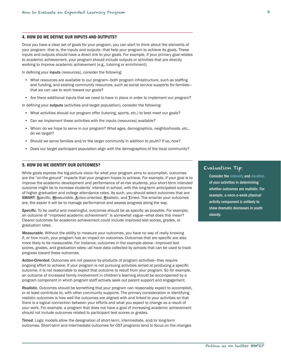## <span id="page-10-0"></span>4. HOW DO WE DEFINE OUR INPUTS AND OUTPUTS?

Once you have a clear set of goals for your program, you can start to think about the elements of your program—that is, the inputs and outputs—that help your program to achieve its goals. These inputs and outputs should have a direct link to your goals. For example, if your primary goal relates to academic achievement, your program should include outputs or activities that are directly working to improve academic achievement (e.g., tutoring or enrichment).

In defining your inputs (resources), consider the following:

- What resources are available to our program—both program infrastructure, such as staffing and funding, and existing community resources, such as social service supports for families that we can use to work toward our goals?
- Are there additional inputs that we need to have in place in order to implement our program?

In defining your **outputs** (activities and target population), consider the following:

- • What activities should our program offer (tutoring, sports, etc.) to best meet our goals?
- Can we implement these activities with the inputs (resources) available?
- • Whom do we hope to serve in our program? What ages, demographics, neighborhoods, etc., do we target?
- Should we serve families and/or the larger community in addition to youth? If so, how?
- Does our target participant population align with the demographics of the local community?

## 5. HOW DO WE IDENTIFY OUR OUTCOMES?

While goals express the big-picture vision for what your program aims to accomplish, outcomes are the "on-the ground" impacts that your program hopes to achieve. For example, if your goal is to improve the academic development and performance of at-risk students, your short-term intended outcome might be to increase students' interest in school, with the long-term anticipated outcome of higher graduation and college attendance rates. As such, you should select outcomes that are SMART: Specific, Measurable, Action-oriented, Realistic, and Timed. The smarter your outcomes are, the easier it will be to manage performance and assess progress along the way.

*Specific.* To be useful and meaningful, outcomes should be as specific as possible. For example, an outcome of "improved academic achievement" is somewhat vague—what does this mean? Clearer outcomes for academic achievement could include improved test scores, grades, or graduation rates.

*Measurable.* Without the ability to measure your outcomes, you have no way of really knowing if, or how much, your program has an impact on outcomes. Outcomes that are specific are also more likely to be measurable. For instance, outcomes in the example above—improved test scores, grades, and graduation rates—all have data collected by schools that can be used to track progress toward these outcomes.

*Action-Oriented.* Outcomes are not passive by-products of program activities—they require ongoing effort to achieve. If your program is not pursuing activities aimed at producing a specific outcome, it is not reasonable to expect that outcome to result from your program. So for example, an outcome of increased family involvement in children's learning should be accompanied by a program component in which program staff actively seek out parent support and engagement.

*Realistic.* Outcomes should be something that your program can reasonably expect to accomplish, or at least contribute to, with other community supports. The primary consideration in identifying realistic outcomes is how well the outcomes are aligned with and linked to your activities so that there is a logical connection between your efforts and what you expect to change as a result of your work. For example, a program that does not have a goal of increasing academic achievement should not include outcomes related to participant test scores or grades.

*Timed.* Logic models allow the designation of short-term, intermediate, and/or long-term outcomes. Short-term and intermediate outcomes for OST programs tend to focus on the changes

## Evaluation Tip:

Consider the [intensity](#page-40-1) and [duration](#page-39-1) of your activities in determining whether outcomes are realistic. For example, a once-a-week physical activity component is unlikely to show dramatic decreases in youth obesity.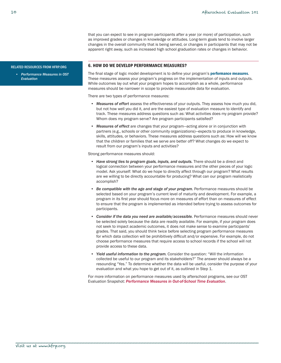that you can expect to see in program participants after a year (or more) of participation, such as improved grades or changes in knowledge or attitudes. Long-term goals tend to involve larger changes in the overall community that is being served, or changes in participants that may not be apparent right away, such as increased high school graduation rates or changes in behavior.

#### <span id="page-11-0"></span>RELATED RESOURCES FROM HFRP.ORG

*• [Performance Measures in OST](http://hfrp.org/PerformanceMeasuresinOSTEvaluation)  [Evaluation](http://hfrp.org/PerformanceMeasuresinOSTEvaluation)*

#### 6. HOW DO WE DEVELOP PERFORMANCE MEASURES?

The final stage of logic model development is to define your program's [performance measures](#page-40-0). These measures assess your program's progress on the implementation of inputs and outputs. While outcomes lay out what your program hopes to accomplish as a whole, performance measures should be narrower in scope to provide measurable data for evaluation.

There are two types of performance measures:

- • *Measures of effort* assess the effectiveness of your outputs. They assess how much you did, but not how well you did it, and are the easiest type of evaluation measure to identify and track. These measures address questions such as: What activities does my program provide? Whom does my program serve? Are program participants satisfied?
- • *Measures of effect* are changes that your program—acting alone or in conjunction with partners (e.g., schools or other community organizations)—expects to produce in knowledge, skills, attitudes, or behaviors. These measures address questions such as: How will we know that the children or families that we serve are better off? What changes do we expect to result from our program's inputs and activities?

Strong performance measures should:

- • *Have strong ties to program goals, inputs, and outputs.* There should be a direct and logical connection between your performance measures and the other pieces of your logic model. Ask yourself: What do we hope to directly affect through our program? What results are we willing to be directly accountable for producing? What can our program realistically accomplish?
- • *Be compatible with the age and stage of your program.* Performance measures should be selected based on your program's current level of maturity and development. For example, a program in its first year should focus more on measures of effort than on measures of effect to ensure that the program is implemented as intended before trying to assess outcomes for participants.
- **Consider if the data you need are available/accessible.** Performance measures should never be selected solely because the data are readily available. For example, if your program does not seek to impact academic outcomes, it does not make sense to examine participants' grades. That said, you should think twice before selecting program performance measures for which data collection will be prohibitively difficult and/or expensive. For example, do not choose performance measures that require access to school records if the school will not provide access to these data.
- • *Yield useful information to the program.* Consider the question: "Will the information collected be useful to our program and its stakeholders?" The answer should always be a resounding "Yes." To determine whether the data will be useful, consider the purpose of your evaluation and what you hope to get out of it, as outlined in Step 1.

For more information on performance measures used by afterschool programs, see our OST Evaluation Snapshot: *[Performance Measures in Out-of-School Time Evaluation](http://hfrp.org/PerformanceMeasuresinOSTEvaluation)*.

\_\_\_\_\_\_\_\_\_\_\_\_\_\_\_\_\_\_\_\_\_\_\_\_\_\_\_\_\_\_\_\_\_\_\_\_\_\_\_\_\_\_\_\_\_\_\_\_\_\_\_\_\_\_\_\_\_\_\_\_\_\_\_\_\_\_\_\_\_\_\_\_\_\_\_\_\_\_\_\_\_\_\_\_\_\_\_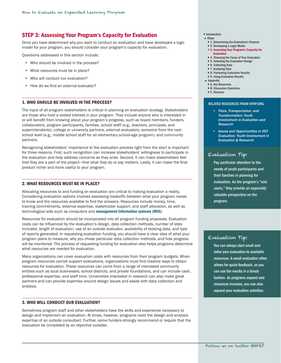# <span id="page-12-1"></span><span id="page-12-0"></span>STEP 3: Assessing Your Program's Capacity for Evaluation

Once you have determined why you want to conduct an evaluation and have developed a logic model for your program, you should consider your program's capacity for evaluation.

Questions addressed in this section include:

- Who should be involved in the process?
- What resources must be in place?
- Who will conduct our evaluation?
- How do we find an external evaluator?

## 1. WHO SHOULD BE INVOLVED IN THE PROCESS?

The input of all program stakeholders is critical in planning an evaluation strategy. Stakeholders are those who hold a vested interest in your program. They include anyone who is interested in or will benefit from knowing about your program's progress, such as board members, funders, collaborators, program participants, families, school staff (e.g., teachers, principals, and superintendents), college or university partners, external evaluators, someone from the next school level (e.g., middle school staff for an elementary school-age program), and community partners.

Recognizing stakeholders' importance to the evaluation process right from the start is important for three reasons. First, such recognition can increase stakeholders' willingness to participate in the evaluation and help address concerns as they arise. Second, it can make stakeholders feel that they are a part of the project—that what they do or say matters. Lastly, it can make the final product richer and more useful to your program.

## 2. WHAT RESOURCES MUST BE IN PLACE?

Allocating resources to and funding an evaluation are critical to making evaluation a reality. Considering evaluation options involves assessing tradeoffs between what your program needs to know and the resources available to find the answers. Resources include money, time, training commitments, external expertise, stakeholder support, and staff allocation, as well as technological aids such as computers and [management information systems \(MIS\)](#page-40-1).

Resources for evaluation should be incorporated into all program funding proposals. Evaluation costs can be influenced by the evaluation's design, data collection methods, number of sites included, length of evaluation, use of an outside evaluator, availability of existing data, and type of reports generated. In requesting evaluation funding, you should have a clear idea of what your program plans to measure, why you chose particular data collection methods, and how progress will be monitored. The process of requesting funding for evaluation also helps programs determine what resources are needed for evaluation.

Many organizations can cover evaluation costs with resources from their program budgets. When program resources cannot support evaluations, organizations must find creative ways to obtain resources for evaluation. These resources can come from a range of interested community entities such as local businesses, school districts, and private foundations, and can include cash, professional expertise, and staff time. Universities interested in research can also make great partners and can provide expertise around design issues and assist with data collection and analysis.

## 3. WHO WILL CONDUCT OUR EVALUATION?

Sometimes program staff and other stakeholders have the skills and experience necessary to design and implement an evaluation. At times, however, programs need the design and analysis expertise of an outside consultant. Further, some funders strongly recommend or require that the evaluation be completed by an objective outsider.

#### **[Introduction](#page-2-1)**  $S$ tens

- - } [1. Determining the Evaluation's Purpose](#page-5-1) ▶ [2. Developing a Logic Model](#page-8-1)
	- ▶ 3. Assessing Your Program's Capacity for
	- [Evaluation](#page-12-1)
	- ▶ 4. Choosing the Focus of Your Evaluation
	- ▶ [5. Selecting the Evaluation Design](#page-18-1)
	- ▶ [6. Collecting Data](#page-23-1)
	- ▶ [7. Analyzing Data](#page-29-1)
	- ▶ [8. Presenting Evaluation Results](#page-31-1)
	- ▶ 9. Using Evaluation Results
- **Exercise**
- ▶ [A. Key Resources](#page-37-1)
- ▶ [B. Discussion Questions](#page-38-1)
- ▶ C. Glossarv

#### RELATED RESOURCES FROM HFRP.ORG

- *• [Pizza, Transportation, and](http://www.hfrp.org/evaluation/the-evaluation-exchange/issue-archive/out-of-school-time-issue-2/pizza-transportation-and-transformation-youth-involvement-in-evaluation-and-research)  [Transformation: Youth](http://www.hfrp.org/evaluation/the-evaluation-exchange/issue-archive/out-of-school-time-issue-2/pizza-transportation-and-transformation-youth-involvement-in-evaluation-and-research)  [Involvement in Evaluation and](http://www.hfrp.org/evaluation/the-evaluation-exchange/issue-archive/out-of-school-time-issue-2/pizza-transportation-and-transformation-youth-involvement-in-evaluation-and-research)  [Research](http://www.hfrp.org/evaluation/the-evaluation-exchange/issue-archive/out-of-school-time-issue-2/pizza-transportation-and-transformation-youth-involvement-in-evaluation-and-research)*
- *• [Issues and Opportunities in OST](http://www.hfrp.org/publications-resources/browse-our-publications/youth-involvement-in-evaluation-research)  [Evaluation: Youth Involvement in](http://www.hfrp.org/publications-resources/browse-our-publications/youth-involvement-in-evaluation-research)  [Evaluation & Research](http://www.hfrp.org/publications-resources/browse-our-publications/youth-involvement-in-evaluation-research)*

## Evaluation Tip:

Pay particular attention to the needs of youth participants and their families in planning for evaluation. As the program's "end users," they provide an especially valuable perspective on the program.

## Evaluation Tip:

You can always start small and tailor your evaluation to available resources. A small evaluation often allows for quick feedback, so you can use the results in a timely fashion. As programs expand and resources increase, you can also expand your evaluation activities.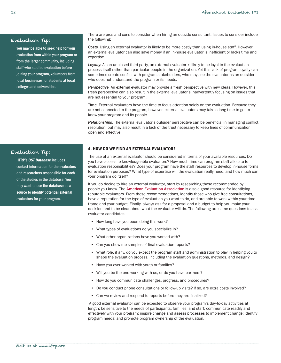## <span id="page-13-0"></span>Evaluation Tip:

You may be able to seek help for your evaluation from within your program or from the larger community, including staff who studied evaluation before joining your program, volunteers from local businesses, or students at local colleges and universities.

There are pros and cons to consider when hiring an outside consultant. Issues to consider include the following:

*Costs.* Using an external evaluator is likely to be more costly than using in-house staff. However, an external evaluator can also save money if an in-house evaluator is inefficient or lacks time and expertise.

Loyalty. As an unbiased third party, an external evaluator is likely to be loyal to the evaluation process itself rather than particular people in the organization. Yet this lack of program loyalty can sometimes create conflict with program stakeholders, who may see the evaluator as an outsider who does not understand the program or its needs.

*Perspective.* An external evaluator may provide a fresh perspective with new ideas. However, this fresh perspective can also result in the external evaluator's inadvertently focusing on issues that are not essential to your program.

**Time.** External evaluators have the time to focus attention solely on the evaluation. Because they are not connected to the program, however, external evaluators may take a long time to get to know your program and its people.

*Relationships.* The external evaluator's outsider perspective can be beneficial in managing conflict resolution, but may also result in a lack of the trust necessary to keep lines of communication open and effective.

## 4. HOW DO WE FIND AN EXTERNAL EVALUATOR?

Evaluation Tip:

HFRP's *[OST Database](http://hfrp.org/OSTDatabase)* includes contact information for the evaluators and researchers responsible for each of the studies in the database. You may want to use the database as a source to identify potential external evaluators for your program.

The use of an external evaluator should be considered in terms of your available resources: Do you have access to knowledgeable evaluators? How much time can program staff allocate to evaluation responsibilities? Does your program have the staff resources to develop in-house forms for evaluation purposes? What type of expertise will the evaluation really need, and how much can your program do itself?

If you do decide to hire an external evaluator, start by researching those recommended by people you know. The [American Evaluation Association](http://www.eval.org/) is also a good resource for identifying reputable evaluators. From these recommendations, identify those who give free consultations, have a reputation for the type of evaluation you want to do, and are able to work within your time frame and your budget. Finally, always ask for a proposal and a budget to help you make your decision and to be clear about what the evaluator will do. The following are some questions to ask evaluator candidates:

- How long have you been doing this work?
- • What types of evaluations do you specialize in?
- What other organizations have you worked with?
- Can you show me samples of final evaluation reports?
- • What role, if any, do you expect the program staff and administration to play in helping you to shape the evaluation process, including the evaluation questions, methods, and design?
- Have you ever worked with youth or families?
- Will you be the one working with us, or do you have partners?
- How do you communicate challenges, progress, and procedures?
- Do you conduct phone consultations or follow-up visits? If so, are extra costs involved?
- Can we review and respond to reports before they are finalized?

A good external evaluator can be expected to observe your program's day-to-day activities at length; be sensitive to the needs of participants, families, and staff; communicate readily and effectively with your program; inspire change and assess processes to implement change; identify program needs; and promote program ownership of the evaluation.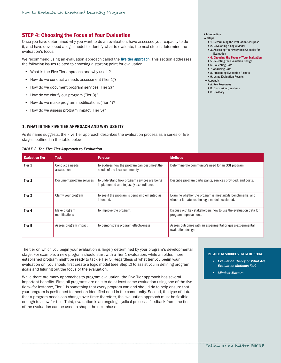# <span id="page-14-1"></span><span id="page-14-0"></span>STEP 4: Choosing the Focus of Your Evaluation

Once you have determined why you want to do an evaluation, have assessed your capacity to do it, and have developed a logic model to identify what to evaluate, the next step is determine the evaluation's focus.

We recommend using an evaluation approach called the five tier approach. This section addresses the following issues related to choosing a starting point for evaluation:

- What is the Five Tier approach and why use it?
- How do we conduct a needs assessment (Tier 1)?
- How do we document program services (Tier 2)?
- How do we clarify our program (Tier 3)?
- How do we make program modifications (Tier 4)?
- How do we assess program impact (Tier 5)?

#### 1. WHAT IS THE FIVE TIER APPROACH AND WHY USE IT?

As its name suggests, the Five Tier approach describes the evaluation process as a series of five stages, outlined in the table below.

#### *TABLE 2: The Five Tier Approach to Evaluation*

#### **[Introduction](#page-2-1)**

- $S$ tens
	- } [1. Determining the Evaluation's Purpose](#page-5-1)
	- ▶ [2. Developing a Logic Model](#page-8-1)
	- ▶ 3. Assessing Your Program's Capacity for
	- [Evaluation](#page-12-1) ▶ [4. Choosing the Focus of Your Evaluation](#page-14-1)
	- ▶ [5. Selecting the Evaluation Design](#page-18-1)
	-
	- ▶ [6. Collecting Data](#page-23-1) ▶ [7. Analyzing Data](#page-29-1)
	- ▶ [8. Presenting Evaluation Results](#page-31-1)
	- ▶ 9. Using Evaluation Results
	- [Appendix](#page-37-1)
	- ▶ [A. Key Resources](#page-37-1)
	- ▶ [B. Discussion Questions](#page-38-1)
	- ▶ [C. Glossary](#page-39-2)

| <b>Evaluation Tier</b> | <b>Task</b>                   | <b>Purpose</b>                                                                           | <b>Methods</b>                                                                                              |
|------------------------|-------------------------------|------------------------------------------------------------------------------------------|-------------------------------------------------------------------------------------------------------------|
| Tier 1                 | Conduct a needs<br>assessment | To address how the program can best meet the<br>needs of the local community.            | Determine the community's need for an OST program.                                                          |
| Tier <sub>2</sub>      | Document program services     | To understand how program services are being<br>implemented and to justify expenditures. | Describe program participants, services provided, and costs.                                                |
| Tier <sub>3</sub>      | Clarify your program          | To see if the program is being implemented as<br>intended.                               | Examine whether the program is meeting its benchmarks, and<br>whether it matches the logic model developed. |
| Tier <sub>4</sub>      | Make program<br>modifications | To improve the program.                                                                  | Discuss with key stakeholders how to use the evaluation data for<br>program improvement.                    |
| Tier 5                 | Assess program impact         | To demonstrate program effectiveness.                                                    | Assess outcomes with an experimental or quasi-experimental<br>evaluation design.                            |

The tier on which you begin your evaluation is largely determined by your program's developmental stage. For example, a new program should start with a Tier 1 evaluation, while an older, more established program might be ready to tackle Tier 5. Regardless of what tier you begin your evaluation on, you should first create a logic model (see Step 2) to assist you in defining program goals and figuring out the focus of the evaluation.

While there are many approaches to program evaluation, the Five Tier approach has several important benefits. First, all programs are able to do at least some evaluation using one of the five tiers—for instance, Tier 1 is something that every program can and should do to help ensure that your program is positioned to meet an identified need in the community. Second, the type of data that a program needs can change over time; therefore, the evaluation approach must be flexible enough to allow for this. Third, evaluation is an ongoing, cyclical process—feedback from one tier of the evaluation can be used to shape the next phase.

#### RELATED RESOURCES FROM HFRP.ORG

- *• [Evaluation Theory or What Are](http://www.hfrp.org/evaluation/the-evaluation-exchange/issue-archive/evaluation-methodology/evaluation-theory-or-what-are-evaluation-methods-for)  [Evaluation Methods For?](http://www.hfrp.org/evaluation/the-evaluation-exchange/issue-archive/evaluation-methodology/evaluation-theory-or-what-are-evaluation-methods-for)*
- *• [Mindset Matters](http://www.hfrp.org/evaluation/the-evaluation-exchange/issue-archive/evaluation-for-continuous-improvement/mindset-matters)*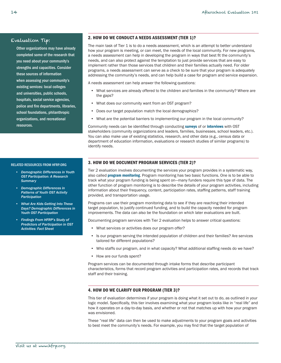## <span id="page-15-0"></span>Evaluation Tip:

Other organizations may have already completed some of the research that you need about your community's strengths and capacities. Consider these sources of information when assessing your community's existing services: local colleges and universities, public schools, hospitals, social service agencies, police and fire departments, libraries, school foundations, philanthropic organizations, and recreational resources.

#### RELATED RESOURCES FROM HFRP.ORG

- *• [Demographic Differences in Youth](http://www.hfrp.org/publications-resources/browse-our-publications/demographic-differences-in-youth-out-of-school-time-participation-a-research-summary)  [OST Participation: A Research](http://www.hfrp.org/publications-resources/browse-our-publications/demographic-differences-in-youth-out-of-school-time-participation-a-research-summary)  [Summary](http://www.hfrp.org/publications-resources/browse-our-publications/demographic-differences-in-youth-out-of-school-time-participation-a-research-summary)*
- *• [Demographic Differences in](http://www.hfrp.org/out-of-school-time/publications-resources/demographic-differences-in-patterns-of-youth-out-of-school-time-activity-participation)  [Patterns of Youth OST Activity](http://www.hfrp.org/out-of-school-time/publications-resources/demographic-differences-in-patterns-of-youth-out-of-school-time-activity-participation)  [Participation](http://www.hfrp.org/out-of-school-time/publications-resources/demographic-differences-in-patterns-of-youth-out-of-school-time-activity-participation)*
- *• [What Are Kids Getting Into These](http://www.hfrp.org/publications-resources/browse-our-publications/what-are-kids-getting-into-these-days-demographic-differences-in-youth-out-of-school-time-participation)  [Days? Demographic Differences in](http://www.hfrp.org/publications-resources/browse-our-publications/what-are-kids-getting-into-these-days-demographic-differences-in-youth-out-of-school-time-participation)  [Youth OST Participation](http://www.hfrp.org/publications-resources/browse-our-publications/what-are-kids-getting-into-these-days-demographic-differences-in-youth-out-of-school-time-participation)*
- *• [Findings From HFRP's Study of](http://www.hfrp.org/publications-resources/browse-our-publications/findings-from-hfrp-s-study-of-predictors-of-participation-in-out-of-school-time-activities-fact-sheet)  [Predictors of Participation in OST](http://www.hfrp.org/publications-resources/browse-our-publications/findings-from-hfrp-s-study-of-predictors-of-participation-in-out-of-school-time-activities-fact-sheet)  [Activities: Fact Sheet](http://www.hfrp.org/publications-resources/browse-our-publications/findings-from-hfrp-s-study-of-predictors-of-participation-in-out-of-school-time-activities-fact-sheet)*

## 2. HOW DO WE CONDUCT A NEEDS ASSESSMENT (TIER 1)?

The main task of Tier 1 is to do a needs assessment, which is an attempt to better understand how your program is meeting, or can meet, the needs of the local community. For new programs, a needs assessment can help in developing the program in ways that best fit the community's needs, and can also protect against the temptation to just provide services that are easy to implement rather than those services that children and their families actually need. For older programs, a needs assessment can serve as a check to be sure that your program is adequately addressing the community's needs, and can help build a case for program and service expansion.

A needs assessment can help answer the following questions:

- • What services are already offered to the children and families in the community? Where are the gaps?
- What does our community want from an OST program?
- Does our target population match the local demographics?
- What are the potential barriers to implementing our program in the local community?

Community needs can be identified through conducting [surveys](#page-42-0) of or [interviews](#page-40-1) with OST stakeholders (community organizations and leaders, families, businesses, school leaders, etc.). You can also make use of existing statistics, research, and other data (e.g., census data or department of education information, evaluations or research studies of similar programs) to identify needs.

## 3. HOW DO WE DOCUMENT PROGRAM SERVICES (TIER 2)?

Tier 2 evaluation involves documenting the services your program provides in a systematic way, also called **[program monitoring](#page-41-1)**. Program monitoring has two basic functions. One is to be able to track what your program funding is being spent on—many funders require this type of data. The other function of program monitoring is to describe the details of your program activities, including information about their frequency, content, participation rates, staffing patterns, staff training provided, and transportation usage.

Programs can use their program monitoring data to see if they are reaching their intended target population, to justify continued funding, and to build the capacity needed for program improvements. The data can also be the foundation on which later evaluations are built.

Documenting program services with Tier 2 evaluation helps to answer critical questions:

- What services or activities does our program offer?
- • Is our program serving the intended population of children and their families? Are services tailored for different populations?
- • Who staffs our program, and in what capacity? What additional staffing needs do we have?
- • How are our funds spent?

Program services can be documented through intake forms that describe participant characteristics, forms that record program activities and participation rates, and records that track staff and their training.

## 4. HOW DO WE CLARIFY OUR PROGRAM (TIER 3)?

This tier of evaluation determines if your program is doing what it set out to do, as outlined in your logic model. Specifically, this tier involves examining what your program looks like in "real life" and how it operates on a day-to-day basis, and whether or not that matches up with how your program was envisioned.

These "real life" data can then be used to make adjustments to your program goals and activities to best meet the community's needs. For example, you may find that the target population of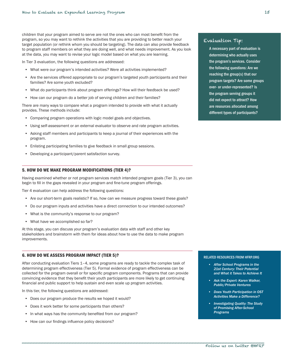<span id="page-16-0"></span>children that your program aimed to serve are not the ones who can most benefit from the program, so you may want to rethink the activities that you are providing to better reach your target population (or rethink whom you should be targeting). The data can also provide feedback to program staff members on what they are doing well, and what needs improvement. As you look at the data, you may want to revise your logic model based on what you are learning.

In Tier 3 evaluation, the following questions are addressed:

- What were our program's intended activities? Were all activities implemented?
- Are the services offered appropriate to our program's targeted youth participants and their families? Are some youth excluded?
- What do participants think about program offerings? How will their feedback be used?
- How can our program do a better job of serving children and their families?

There are many ways to compare what a program intended to provide with what it actually provides. These methods include:

- • Comparing program operations with logic model goals and objectives.
- • Using self-assessment or an external evaluator to observe and rate program activities.
- • Asking staff members and participants to keep a journal of their experiences with the program.
- • Enlisting participating families to give feedback in small group sessions.
- Developing a participant/parent satisfaction survey.

## 5. HOW DO WE MAKE PROGRAM MODIFICATIONS (TIER 4)?

Having examined whether or not program services match intended program goals (Tier 3), you can begin to fill in the gaps revealed in your program and fine-tune program offerings.

Tier 4 evaluation can help address the following questions:

- Are our short-term goals realistic? If so, how can we measure progress toward these goals?
- • Do our program inputs and activities have a direct connection to our intended outcomes?
- What is the community's response to our program?
- What have we accomplished so far?

At this stage, you can discuss your program's evaluation data with staff and other key stakeholders and brainstorm with them for ideas about how to use the data to make program improvements.

#### 6. HOW DO WE ASSESS PROGRAM IMPACT (TIER 5)?

After conducting evaluation Tiers 1–4, some programs are ready to tackle the complex task of determining program effectiveness (Tier 5). Formal evidence of program effectiveness can be collected for the program overall or for specific program components. Programs that can provide convincing evidence that they benefit their youth participants are more likely to get continuing financial and public support to help sustain and even scale up program activities.

In this tier, the following questions are addressed:

- Does our program produce the results we hoped it would?
- Does it work better for some participants than others?
- In what ways has the community benefited from our program?
- How can our findings influence policy decisions?

## Evaluation Tip:

A necessary part of evaluation is determining who actually uses the program's services. Consider the following questions: Are we reaching the group(s) that our program targets? Are some groups over- or under-represented? Is the program serving groups it did not expect to attract? How are resources allocated among different types of participants?

#### RELATED RESOURCES FROM HFRP.ORG

- *• [After School Programs in the](http://www.hfrp.org/publications-resources/browse-our-publications/after-school-programs-in-the-21st-century-their-potential-and-what-it-takes-to-achieve-it)  [21st Century: Their Potential](http://www.hfrp.org/publications-resources/browse-our-publications/after-school-programs-in-the-21st-century-their-potential-and-what-it-takes-to-achieve-it)  [and What it Takes to Achieve It](http://www.hfrp.org/publications-resources/browse-our-publications/after-school-programs-in-the-21st-century-their-potential-and-what-it-takes-to-achieve-it)*
- **Ask the Expert: Karen Walker,** *[Public/Private Ventures](http://www.hfrp.org/evaluation/the-evaluation-exchange/issue-archive/out-of-school-time-issue-1/ask-the-expert)*
- *• [Does Youth Participation in OST](http://www.hfrp.org/evaluation/the-evaluation-exchange/issue-archive/evaluating-out-of-school-time/does-youth-participation-in-out-of-school-time-activities-make-a-difference)  [Activities Make a Difference?](http://www.hfrp.org/evaluation/the-evaluation-exchange/issue-archive/evaluating-out-of-school-time/does-youth-participation-in-out-of-school-time-activities-make-a-difference)*
- *Investigating Quality: The Study [of Promising After-School](http://www.hfrp.org/evaluation/the-evaluation-exchange/issue-archive/evaluating-out-of-school-time-program-quality/investigating-quality-the-study-of-promising-after-school-programs)  [Programs](http://www.hfrp.org/evaluation/the-evaluation-exchange/issue-archive/evaluating-out-of-school-time-program-quality/investigating-quality-the-study-of-promising-after-school-programs)*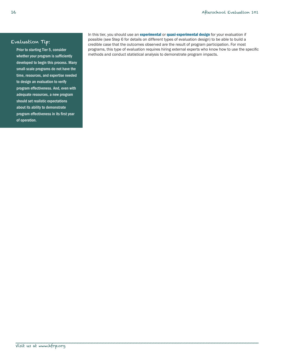# Evaluation Tip:

Prior to starting Tier 5, consider whether your program is sufficiently developed to begin this process. Many small-scale programs do not have the time, resources, and expertise needed to design an evaluation to verify program effectiveness. And, even with adequate resources, a new program should set realistic expectations about its ability to demonstrate program effectiveness in its first year of operation.

In this tier, you should use an [experimental](#page-39-1) or [quasi-experimental design](#page-41-1) for your evaluation if possible (see Step 6 for details on different types of evaluation design) to be able to build a credible case that the outcomes observed are the result of program participation. For most programs, this type of evaluation requires hiring external experts who know how to use the specific methods and conduct statistical analysis to demonstrate program impacts.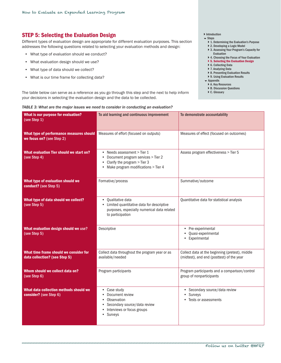# <span id="page-18-1"></span><span id="page-18-0"></span>STEP 5: Selecting the Evaluation Design

Different types of evaluation design are appropriate for different evaluation purposes. This section addresses the following questions related to selecting your evaluation methods and design:

- • What type of evaluation should we conduct?
- What evaluation design should we use?
- • What type of data should we collect?
- • What is our time frame for collecting data?

The table below can serve as a reference as you go through this step and the next to help inform your decisions in selecting the evaluation design and the data to be collected.

## ▶ [Introduction](#page-2-1)

- $\overline{\phantom{a}}$  Steps
	- ▶ [1. Determining the Evaluation's Purpose](#page-5-1)
	- ▶ [2. Developing a Logic Model](#page-8-1)
	- ▶ 3. Assessing Your Program's Capacity for
	- [Evaluation](#page-12-1) ▶ 4. Choosing the Focus of Your Evaluation
	- ▶ [5. Selecting the Evaluation Design](#page-18-1)
	- ▶ [6. Collecting Data](#page-23-1)
	- ▶ [7. Analyzing Data](#page-29-1)
	- ▶ [8. Presenting Evaluation Results](#page-31-1)
	- ▶ 9. Using Evaluation Results
	- [Appendix](#page-37-1)
	- ▶ [A. Key Resources](#page-37-1)
	- ▶ [B. Discussion Questions](#page-38-1)
	- ▶ [C. Glossary](#page-39-2)

#### *TABLE 3: What are the major issues we need to consider in conducting an evaluation?*

| What is our purpose for evaluation?<br>(see Step 1)                     | To aid learning and continuous improvement                                                                                               | To demonstrate accountability                                                                |
|-------------------------------------------------------------------------|------------------------------------------------------------------------------------------------------------------------------------------|----------------------------------------------------------------------------------------------|
| What type of performance measures should<br>we focus on? (see Step 2)   | Measures of effort (focused on outputs)                                                                                                  | Measures of effect (focused on outcomes)                                                     |
| What evaluation Tier should we start on?<br>(see Step 4)                | • Needs assessment > Tier 1<br>Document program services > Tier 2<br>Clarify the program > Tier 3<br>Make program modifications > Tier 4 | Assess program effectiveness > Tier 5                                                        |
| What type of evaluation should we<br>conduct? (see Step 5)              | Formative/process                                                                                                                        | Summative/outcome                                                                            |
| What type of data should we collect?<br>(see Step 5)                    | • Qualitative data<br>• Limited quantitative data for descriptive<br>purposes, especially numerical data related<br>to participation     | Quantitative data for statistical analysis                                                   |
| What evaluation design should we use?<br>(see Step 5)                   | Descriptive                                                                                                                              | • Pre-experimental<br>· Quasi-experimental<br>• Experimental                                 |
| What time frame should we consider for<br>data collection? (see Step 5) | Collect data throughout the program year or as<br>available/needed                                                                       | Collect data at the beginning (pretest), middle<br>(midtest), and end (posttest) of the year |
| Whom should we collect data on?<br>(see Step 6)                         | Program participants                                                                                                                     | Program participants and a comparison/control<br>group of nonparticipants                    |
| What data collection methods should we<br>consider? (see Step 6)        | • Case study<br>• Document review<br>Observation<br>$\bullet$<br>Secondary source/data review<br>Interviews or focus groups<br>• Surveys | • Secondary source/data review<br>• Surveys<br>• Tests or assessments                        |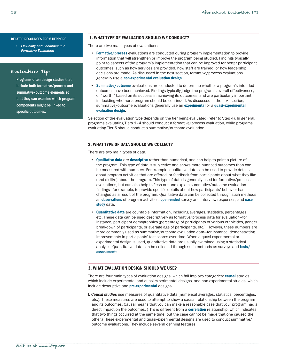#### <span id="page-19-0"></span>RELATED RESOURCES FROM HFRP.ORG

*• [Flexibility and Feedback in a](http://www.hfrp.org/evaluation/the-evaluation-exchange/issue-archive/evaluating-education-reform/flexibility-and-feedback-in-a-formative-evaluation)  [Formative Evaluation](http://www.hfrp.org/evaluation/the-evaluation-exchange/issue-archive/evaluating-education-reform/flexibility-and-feedback-in-a-formative-evaluation)*

## Evaluation Tip:

Programs often design studies that include both formative/process and summative/outcome elements so that they can examine which program components might be linked to specific outcomes.

## 1. WHAT TYPE OF EVALUATION SHOULD WE CONDUCT?

There are two main types of evaluations:

- [Formative/process](#page-39-1) evaluations are conducted during program implementation to provide information that will strengthen or improve the program being studied. Findings typically point to aspects of the program's implementation that can be improved for better participant outcomes, such as how services are provided, how staff are trained, or how leadership decisions are made. As discussed in the next section, formative/process evaluations generally use a [non-experimental evaluation design](#page-40-0).
- [Summative/outcome](#page-42-0) evaluations are conducted to determine whether a program's intended outcomes have been achieved. Findings typically judge the program's overall effectiveness, or "worth," based on its success in achieving its outcomes, and are particularly important in deciding whether a program should be continued. As discussed in the next section, summative/outcome evaluations generally use an [experimental](#page-39-1) or a quasi-experimental [evaluation design](#page-41-1).

Selection of the evaluation type depends on the tier being evaluated (refer to Step 4). In general, programs evaluating Tiers 1–4 should conduct a formative/process evaluation, while programs evaluating Tier 5 should conduct a summative/outcome evaluation.

## 2. WHAT TYPE OF DATA SHOULD WE COLLECT?

There are two main types of data.

- **Oualitative data** are **[descriptive](#page-39-1)** rather than numerical, and can help to paint a picture of the program. This type of data is subjective and shows more nuanced outcomes than can be measured with numbers. For example, qualitative data can be used to provide details about program activities that are offered, or feedback from participants about what they like (and dislike) about the program. This type of data is generally used for formative/process evaluations, but can also help to flesh out and explain summative/outcome evaluation findings—for example, to provide specific details about how participants' behavior has changed as a result of the program. Qualitative data can be collected through such methods as [observations](#page-40-0) of program activities, [open-ended](#page-40-0) survey and interview responses, and case [study](#page-39-2) data.
- [Quantitative data](#page-41-1) are countable information, including averages, statistics, percentages, etc. These data can be used descriptively as formative/process data for evaluation—for instance, participant demographics (percentage of participants of various ethnicities, gender breakdown of participants, or average age of participants, etc.). However, these numbers are more commonly used as summative/outcome evaluation data—for instance, demonstrating improvements in participants' test scores over time. When a quasi-experimental or experimental design is used, quantitative data are usually examined using a statistical analysis. Quantitative data can be collected through such methods as surveys and [tests/](#page-42-0) [assessments](#page-42-0).

## 3. WHAT EVALUATION DESIGN SHOULD WE USE?

There are four main types of evaluation designs, which fall into two categories: **[causal](#page-39-2)** studies, which include experimental and quasi-experimental designs, and non-experimental studies, which include descriptive and **[pre-experimental](#page-40-0)** designs.

I. *Causal studie*s use measures of quantitative data (numerical averages, statistics, percentages, etc.). These measures are used to attempt to show a causal relationship between the program and its outcomes. Causal means that you can make a reasonable case that your program had a direct impact on the outcomes. (This is different from a **[correlation](#page-39-2)** relationship, which indicates that two things occurred at the same time, but the case cannot be made that one caused the other.) These experimental and quasi-experimental designs are used to conduct summative/ outcome evaluations. They include several defining features: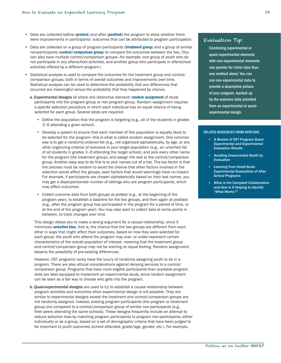- Data are collected before ([pretest](#page-40-0)) and after ([posttest](#page-41-1)) the program to show whether there were improvements in participants' outcomes that can be attributed to program participation.
- Data are collected on a group of program participants ([treatment group](#page-42-0)) and a group of similar nonparticipants ([control/comparison group](#page-39-2)) to compare the outcomes between the two. (You can also have multiple control/comparison groups—for example, one group of youth who do not participate in any afterschool activities, and another group who participate in afterschool activities offered by a different program.)
- • Statistical analysis is used to compare the outcomes for the treatment group and control/ comparison groups, both in terms of overall outcomes and improvements over time. Statistical analysis can be used to determine the probability that any differences that occurred are meaningful versus the probability that they happened by chance.
	- a. *Experimental designs* all share one distinctive element: [random assignment](#page-41-0) of study participants into the program group or non-program group. Random assignment requires a specific selection procedure in which each individual has an equal chance of being selected for each group. Several steps are required:
		- Define the population that the program is targeting (e.g., all of the students in grades 3–6 attending a given school).
		- • Develop a system to ensure that each member of this population is equally likely to be selected for the program—this is what is called random assignment. One common way is to get a randomly-ordered list (e.g., not organized alphabetically, by age, or any other organizing criteria) of everyone in your target population (e.g., an unsorted list of all students in grades 3–6 attending the target school), and pick every other name for the program (the treatment group), and assign the rest to the control/comparison group. Another easy way to do this is to pick names out of a hat. The key factor is that the process must be random to avoid the chance that other factors involved in the selection would affect the groups, even factors that would seemingly have no impact. For example, if participants are chosen alphabetically based on their last names, you may get a disproportionate number of siblings who are program participants, which may affect outcomes.
		- • Collect outcome data from both groups at pretest (e.g., at the beginning of the program year), to establish a baseline for the two groups, and then again at posttest (e.g., after the program group has participated in the program for a period of time, or at the end of the program year). You may also want to collect data at some points in between, to track changes over time.

This design allows you to make a strong argument for a causal relationship, since it minimizes [selection bias](#page-42-0), that is, the chance that the two groups are different from each other in ways that might affect their outcomes, based on how they were selected for each group: the youth who attend the program may over- or under-represent certain characteristics of the overall population of interest, meaning that the treatment group and control/comparison group may not be starting on equal footing. Random assignment lessens the possibility of pre-existing differences.

However, OST programs rarely have the luxury of randomly assigning youth to be in a program. There are also ethical considerations against denying services to a control/ comparison group. Programs that have more eligible participants than available program slots are best equipped to implement an experimental study, since random assignment can be seen as a fair way to choose who gets into the program.

b. *Quasi-experimental designs* are used to try to establish a causal relationship between program activities and outcomes when experimental design is not possible. They are similar to experimental designs except the treatment and control/comparison groups are not randomly assigned. Instead, existing program participants (the program or treatment group) are compared to a control/comparison group of similar non-participants (e.g., their peers attending the same schools). These designs frequently include an attempt to reduce selection bias by matching program participants to program non-participants, either individually or as a group, based on a set of demographic criteria that have been judged to be important to youth outcomes (school attended, grade/age, gender, etc.). For example,

# Evaluation Tip:

Combining experimental or quasi-experimental elements with non-experimental elements can provide for richer data than one method alone: You can use non-experimental data to provide a descriptive picture of your program, backed up by the outcome data provided from an experimental or quasiexperimental design.

#### RELATED RESOURCES FROM HFRP.ORG

- *• [A Review of OST Program Quasi-](http://www.hfrp.org/publications-resources/browse-our-publications/a-review-of-out-of-school-time-program-quasi-experimental-and-experimental-evaluation-results)[Experimental and Experimental](http://www.hfrp.org/publications-resources/browse-our-publications/a-review-of-out-of-school-time-program-quasi-experimental-and-experimental-evaluation-results)  [Evaluation Results](http://www.hfrp.org/publications-resources/browse-our-publications/a-review-of-out-of-school-time-program-quasi-experimental-and-experimental-evaluation-results)*
- *• [Avoiding Unwarranted Death by](http://www.hfrp.org/evaluation/the-evaluation-exchange/issue-archive/evaluating-education-reform/avoiding-unwarranted-death-by-evaluation)  [Evaluation](http://www.hfrp.org/evaluation/the-evaluation-exchange/issue-archive/evaluating-education-reform/avoiding-unwarranted-death-by-evaluation)*
- *• [Learning from Small-Scale](http://www.hfrp.org/publications-resources/browse-our-publications/learning-from-small-scale-experimental-evaluations-of-after-school-programs)  [Experimental Evaluations of After](http://www.hfrp.org/publications-resources/browse-our-publications/learning-from-small-scale-experimental-evaluations-of-after-school-programs)  [School Programs](http://www.hfrp.org/publications-resources/browse-our-publications/learning-from-small-scale-experimental-evaluations-of-after-school-programs)*
- *What is the Campbell Collaboration [and How Is It Helping to Identify](http://www.hfrp.org/evaluation/the-evaluation-exchange/issue-archive/evaluation-methodology/what-is-the-campbell-collaboration-and-how-is-it-helping-to-identify-what-works)  ["What Works"?](http://www.hfrp.org/evaluation/the-evaluation-exchange/issue-archive/evaluation-methodology/what-is-the-campbell-collaboration-and-how-is-it-helping-to-identify-what-works)*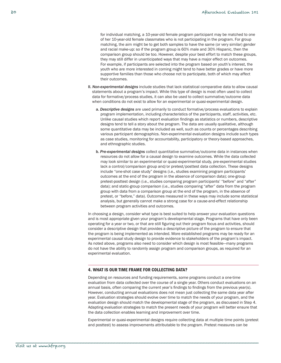<span id="page-21-0"></span>for individual matching, a 10-year-old female program participant may be matched to one of her 10-year-old female classmates who is not participating in the program. For group matching, the aim might be to get both samples to have the same (or very similar) gender and racial make-up: so if the program group is 60% male and 30% Hispanic, then the comparison group should be too. However, despite your best effort to match these groups, they may still differ in unanticipated ways that may have a major effect on outcomes. For example, if participants are selected into the program based on youth's interest, the youth who are more interested in coming might tend to have better grades or have more supportive families than those who choose not to participate, both of which may affect their outcomes.

- II. *Non-experimental designs* include studies that lack statistical comparative data to allow causal statements about a program's impact. While this type of design is most often used to collect data for formative/process studies, it can also be used to collect summative/outcome data when conditions do not exist to allow for an experimental or quasi-experimental design.
	- a. *Descriptive designs* are used primarily to conduct formative/process evaluations to explain program implementation, including characteristics of the participants, staff, activities, etc. Unlike causal studies which report evaluation findings as statistics or numbers, descriptive designs tend to tell a story about the program. The data are usually qualitative, although some quantitative data may be included as well, such as counts or percentages describing various participant demographics. Non-experimental evaluation designs include such types as case studies, monitoring for accountability, participatory or theory-based approaches, and ethnographic studies.
	- b. *Pre-experimental designs* collect quantitative summative/outcome data in instances when resources do not allow for a causal design to examine outcomes. While the data collected may look similar to an experimental or quasi-experimental study, pre-experimental studies lack a control/comparison group and/or pretest/posttest data collection. These designs include "one-shot case study" designs (i.e., studies examining program participants' outcomes at the end of the program in the absence of comparison data); one-group pretest-posttest design (i.e., studies comparing program participants' "before" and "after" data); and static-group comparison (i.e., studies comparing "after" data from the program group with data from a comparison group at the end of the program, in the absence of pretest, or "before," data). Outcomes measured in these ways may include some statistical analysis, but generally cannot make a strong case for a cause-and-effect relationship between program activities and outcomes.

In choosing a design, consider what type is best suited to help answer your evaluation questions and is most appropriate given your program's developmental stage. Programs that have only been operating for a year or two, or that are still figuring out their program focus and activities, should consider a descriptive design that provides a descriptive picture of the program to ensure that the program is being implemented as intended. More established programs may be ready for an experimental causal study design to provide evidence to stakeholders of the program's impact. As noted above, programs also need to consider which design is most feasible—many programs do not have the ability to randomly assign program and comparison groups, as required for an experimental evaluation.

#### 4. WHAT IS OUR TIME FRAME FOR COLLECTING DATA?

\_\_\_\_\_\_\_\_\_\_\_\_\_\_\_\_\_\_\_\_\_\_\_\_\_\_\_\_\_\_\_\_\_\_\_\_\_\_\_\_\_\_\_\_\_\_\_\_\_\_\_\_\_\_\_\_\_\_\_\_\_\_\_\_\_\_\_\_\_\_\_\_\_\_\_\_\_\_\_\_\_\_\_\_\_\_\_

Depending on resources and funding requirements, some programs conduct a one-time evaluation from data collected over the course of a single year. Others conduct evaluations on an annual basis, often comparing the current year's findings to findings from the previous year(s). However, conducting annual evaluations does not mean just collecting the same data year after year. Evaluation strategies should evolve over time to match the needs of your program, and the evaluation design should match the developmental stage of the program, as discussed in Step 4. Adapting evaluation strategies to match the present needs of your program will better ensure that the data collection enables learning and improvement over time.

Experimental or quasi-experimental designs require collecting data at multiple time points (pretest and posttest) to assess improvements attributable to the program. Pretest measures can be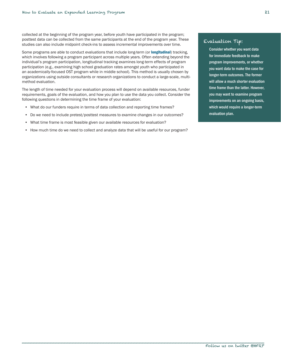collected at the beginning of the program year, before youth have participated in the program; posttest data can be collected from the same participants at the end of the program year. These studies can also include midpoint check-ins to assess incremental improvements over time.

Some programs are able to conduct evaluations that include long-term (or [longitudinal](#page-40-1)) tracking, which involves following a program participant across multiple years. Often extending beyond the individual's program participation, longitudinal tracking examines long-term effects of program participation (e.g., examining high school graduation rates amongst youth who participated in an academically-focused OST program while in middle school). This method is usually chosen by organizations using outside consultants or research organizations to conduct a large-scale, multimethod evaluation.

The length of time needed for your evaluation process will depend on available resources, funder requirements, goals of the evaluation, and how you plan to use the data you collect. Consider the following questions in determining the time frame of your evaluation:

- • What do our funders require in terms of data collection and reporting time frames?
- Do we need to include pretest/posttest measures to examine changes in our outcomes?
- What time frame is most feasible given our available resources for evaluation?
- How much time do we need to collect and analyze data that will be useful for our program?

## Evaluation Tip:

Consider whether you want data for immediate feedback to make program improvements, or whether you want data to make the case for longer-term outcomes. The former will allow a much shorter evaluation time frame than the latter. However, you may want to examine program improvements on an ongoing basis, which would require a longer-term evaluation plan.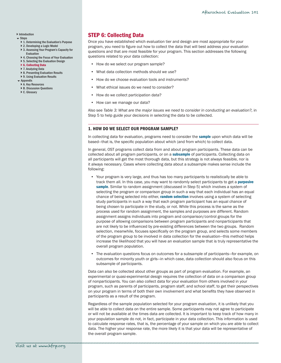## <span id="page-23-0"></span>**[Introduction](#page-2-1)**

- $S$ tens
	- ▶ [1. Determining the Evaluation's Purpose](#page-5-1)
	- } [2. Developing a Logic Model](#page-8-1)
	- ▶ 3. Assessing Your Program's Capacity for [Evaluation](#page-12-1)
	- ▶ 4. Choosing the Focus of Your Evaluation
	- ▶ [5. Selecting the Evaluation Design](#page-18-1)
	- ▶ [6. Collecting Data](#page-23-1)
	- ▶ [7. Analyzing Data](#page-29-1)
	- ▶ [8. Presenting Evaluation Results](#page-31-1)
	- ▶ 9. Using Evaluation Results
- **[Appendix](#page-37-1)**
- ▶ [A. Key Resources](#page-37-1) ▶ [B. Discussion Questions](#page-38-1)
- ▶ [C. Glossary](#page-39-2)

# <span id="page-23-1"></span>STEP 6: Collecting Data

Once you have established which evaluation tier and design are most appropriate for your program, you need to figure out how to collect the data that will best address your evaluation questions and that are most feasible for your program. This section addresses the following questions related to your data collection:

- How do we select our program sample?
- What data collection methods should we use?
- How do we choose evaluation tools and instruments?
- What ethical issues do we need to consider?
- How do we collect participation data?
- How can we manage our data?

Also see *Table 3: What are the major issues we need to consider in conducting an evaluation?,* in Step 5 to help guide your decisions in selecting the data to be collected.

#### 1. HOW DO WE SELECT OUR PROGRAM SAMPLE?

In collecting data for evaluation, programs need to consider the **[sample](#page-41-0)** upon which data will be based—that is, the specific population about which (and from which) to collect data.

In general, OST programs collect data from and about program participants. These data can be collected about all program participants, or on a [subsample](#page-42-0) of participants. Collecting data on all participants will get the most thorough data, but this strategy is not always feasible, nor is it always necessary. Cases where collecting data about a subsample makes sense include the following:

- • Your program is very large, and thus has too many participants to realistically be able to track them all. In this case, you may want to randomly select participants to get a *purposive* [sample](#page-41-1). Similar to random assignment (discussed in Step 5) which involves a system of selecting the program or comparison group in such a way that each individual has an equal chance of being selected into either, [random selection](#page-41-0) involves using a system of selecting study participants in such a way that each program participant has an equal chance of being chosen to participate in the study, or not. While this process is the same as the process used for random assignment, the samples and purposes are different. Random assignment assigns individuals into program and comparison/control groups for the purpose of allowing comparisons between program participants and nonparticipants that are not likely to be influenced by pre-existing differences between the two groups. Random selection, meanwhile, focuses specifically on the program group, and selects some members of the program group to be involved in data collection for the evaluation—this method helps increase the likelihood that you will have an evaluation sample that is truly representative the overall program population.
- The evaluation questions focus on outcomes for a subsample of participants—for example, on outcomes for minority youth or girls—in which case, data collection should also focus on this subsample of participants.

Data can also be collected about other groups as part of program evaluation. For example, an experimental or quasi-experimental design requires the collection of data on a comparison group of nonparticipants. You can also collect data for your evaluation from others involved in your program, such as parents of participants, program staff, and school staff, to get their perspectives on your program in terms of both their own involvement and what benefits they have observed in participants as a result of the program.

Regardless of the sample population selected for your program evaluation, it is unlikely that you will be able to collect data on the entire sample. Some participants may not agree to participate or will not be available at the times data are collected. It is important to keep track of how many in your population sample do not, in fact, participate in your data collection. This information is used to calculate response rates, that is, the percentage of your sample on which you are able to collect data. The higher your response rate, the more likely it is that your data will be representative of the overall program sample.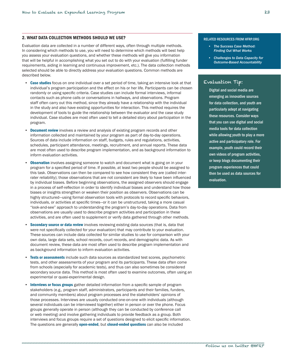## <span id="page-24-0"></span>2. WHAT DATA COLLECTION METHODS SHOULD WE USE?

Evaluation data are collected in a number of different ways, often through multiple methods. In considering which methods to use, you will need to determine which methods will best help you assess your evaluation questions, and whether these methods will give you information that will be helpful in accomplishing what you set out to do with your evaluation (fulfilling funder requirements, aiding in learning and continuous improvement, etc.). The data collection methods selected should be able to directly address your evaluation questions. Common methods are described below.

- [Case studies](#page-39-2) focus on one individual over a set period of time, taking an intensive look at that individual's program participation and the effect on his or her life. Participants can be chosen randomly or using specific criteria. Case studies can include formal interviews, informal contacts such as phone calls or conversations in hallways, and observations. Program staff often carry out this method, since they already have a relationship with the individual in the study and also have existing opportunities for interaction. This method requires the development of tools to guide the relationship between the evaluator and the case study individual. Case studies are most often used to tell a detailed story about participation in the program.
- **[Document review](#page-39-1)** involves a review and analysis of existing program records and other information collected and maintained by your program as part of day-to-day operations. Sources of data include information on staff, budgets, rules and regulations, activities, schedules, participant attendance, meetings, recruitment, and annual reports. These data are most often used to describe program implementation, and as background information to inform evaluation activities.
- **[Observation](#page-40-0)** involves assigning someone to watch and document what is going on in your program for a specified period of time. If possible, at least two people should be assigned to this task. Observations can then be compared to see how consistent they are (called interrater reliability); those observations that are not consistent are likely to have been influenced by individual biases. Before beginning observations, the assigned observers should engage in a process of self-reflection in order to identify individual biases and understand how those biases or insights strengthen or weaken their position as observers. Observations can be highly structured—using formal observation tools with protocols to record specific behaviors, individuals, or activities at specific times—or it can be unstructured, taking a more casual "look-and-see" approach to understanding the program's day-to-day operations. Data from observations are usually used to describe program activities and participation in these activities, and are often used to supplement or verify data gathered through other methods.
- [Secondary source or data review](#page-41-0) involves reviewing existing data sources (that is, data that were not specifically collected for your evaluation) that may contribute to your evaluation. These sources can include data collected for similar studies to use for comparison with your own data, large data sets, school records, court records, and demographic data. As with document review, these data are most often used to describe program implementation and as background information to inform evaluation activities.
- [Tests or assessments](#page-42-0) include such data sources as standardized test scores, psychometric tests, and other assessments of your program and its participants. These data often come from schools (especially for academic tests), and thus can also sometimes be considered secondary source data. This method is most often used to examine outcomes, often using an experimental or quasi-experimental design.
- [Interviews or focus groups](#page-40-1) gather detailed information from a specific sample of program stakeholders (e.g., program staff, administrators, participants and their families, funders, and community members) about program processes and the stakeholders' opinions of those processes. Interviews are usually conducted one-on-one with individuals (although several individuals can be interviewed together) either in person or over the phone. Focus groups generally operate in person (although they can be conducted by conference call or web meeting) and involve gathering individuals to provide feedback as a group. Both interviews and focus groups require a set of questions designed to elicit specific information. The questions are generally **[open-ended](#page-40-0)**, but **[closed-ended questions](#page-39-2)** can also be included

#### RELATED RESOURCES FROM HFRP.ORG

- *• [The Success Case Method:](http://www.hfrp.org/evaluation/the-evaluation-exchange/issue-archive/reflecting-on-the-past-and-future-of-evaluation/the-success-case-method-finding-out-what-works)  [Finding Out What Works](http://www.hfrp.org/evaluation/the-evaluation-exchange/issue-archive/reflecting-on-the-past-and-future-of-evaluation/the-success-case-method-finding-out-what-works)*
- **Challenges to Data Capacity for** *[Outcome-Based Accountability](http://www.hfrp.org/evaluation/the-evaluation-exchange/issue-archive/results-based-accountability-1/challenges-to-data-capacity-for-outcome-based-accountability)*

## Evaluation Tip:

Digital and social media are emerging as innovative sources for data collection, and youth are particularly adept at navigating these resources. Consider ways that you can use digital and social media tools for data collection while allowing youth to play a more active and participatory role. For example, youth could record their own videos of program activities, or keep blogs documenting their program experiences that could then be used as data sources for evaluation.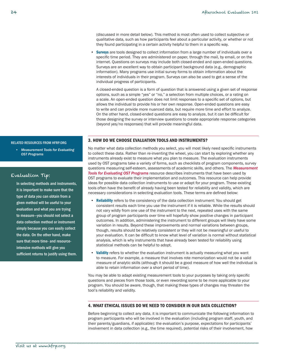<span id="page-25-0"></span>(discussed in more detail below). This method is most often used to collect subjective or qualitative data, such as how participants feel about a particular activity, or whether or not they found participating in a certain activity helpful to them in a specific way.

**[Surveys](#page-42-0)** are tools designed to collect information from a large number of individuals over a specific time period. They are administered on paper, through the mail, by email, or on the internet. Questions on surveys may include both closed-ended and open-ended questions. Surveys are an excellent way to obtain participant background data (e.g., demographic information). Many programs use initial survey forms to obtain information about the interests of individuals in their program. Surveys can also be used to get a sense of the individual progress of participants.

A closed-ended question is a form of question that is answered using a given set of response options, such as a simple "yes" or "no," a selection from multiple choices, or a rating on a scale. An open-ended question does not limit responses to a specific set of options, but allows the individual to provide his or her own response. Open-ended questions are easy to write and can provide more nuanced data, but require more time and effort to analyze. On the other hand, closed-ended questions are easy to analyze, but it can be difficult for those designing the survey or interview questions to create appropriate response categories (beyond yes/no responses) that will provide meaningful data.

#### 3. HOW DO WE CHOOSE EVALUATION TOOLS AND INSTRUMENTS?

No matter what data collection methods you select, you will most likely need specific instruments to collect these data. Rather than re-inventing the wheel, you can start by exploring whether any instruments already exist to measure what you plan to measure. The evaluation instruments used by OST programs take a variety of forms, such as checklists of program components, survey questions measuring self-esteem, assessments of academic skills, and others. The *[Measurement](http://hfrp.org/OSTMeasurementTools)  [Tools for Evaluating OST Programs](http://hfrp.org/OSTMeasurementTools)* resource describes instruments that have been used by OST programs to evaluate their implementation and outcomes. This resource can help provide ideas for possible data collection instruments to use or adapt for your program. These existing tools often have the benefit of already having been tested for reliability and validity, which are necessary considerations in selecting evaluation tools. These terms are defined below:

- **[Reliability](#page-41-0)** refers to the consistency of the data collection instrument: You should get consistent results each time you use the instrument if it is reliable. While the results should not vary wildly from one use of the instrument to the next, repeated uses with the same group of program participants over time will hopefully show positive changes in participant outcomes. In addition, administering the instrument to different groups will likely have some variation in results. Beyond these improvements and normal variations between groups, though, results should be relatively consistent or they will not be meaningful or useful to your evaluation. It can be difficult to know what level of variation is normal without statistical analysis, which is why instruments that have already been tested for reliability using statistical methods can be helpful to adopt.
- [Validity](#page-42-0) refers to whether the evaluation instrument is actually measuring what you want to measure. For example, a measure that involves rote memorization would not be a valid measure of analytic skills (although it should be a good measure of how well the individual is able to retain information over a short period of time).

You may be able to adapt existing measurement tools to your purposes by taking only specific questions and pieces from those tools, or even rewording some to be more applicable to your program. You should be aware, though, that making these types of changes may threaten the tool's reliability and validity.

## 4. WHAT ETHICAL ISSUES DO WE NEED TO CONSIDER IN OUR DATA COLLECTION?

\_\_\_\_\_\_\_\_\_\_\_\_\_\_\_\_\_\_\_\_\_\_\_\_\_\_\_\_\_\_\_\_\_\_\_\_\_\_\_\_\_\_\_\_\_\_\_\_\_\_\_\_\_\_\_\_\_\_\_\_\_\_\_\_\_\_\_\_\_\_\_\_\_\_\_\_\_\_\_\_\_\_\_\_\_\_\_

Before beginning to collect any data, it is important to communicate the following information to program participants who will be involved in the evaluation (including program staff, youth, and their parents/guardians, if applicable): the evaluation's purpose, expectations for participants' involvement in data collection (e.g., the time required), potential risks of their involvement, how

#### RELATED RESOURCES FROM HFRP.ORG

*• [Measurement Tools for Evaluating](http://hfrp.org/OSTMeasurementTools)  [OST Programs](http://hfrp.org/OSTMeasurementTools)*

## Evaluation Tip:

In selecting methods and instruments, it is important to make sure that the type of data you can obtain from a given method will be useful to your evaluation and what you are trying to measure—you should not select a data collection method or instrument simply because you can easily collect the data. On the other hand, make sure that more time- and resourceintensive methods will give you sufficient returns to justify using them.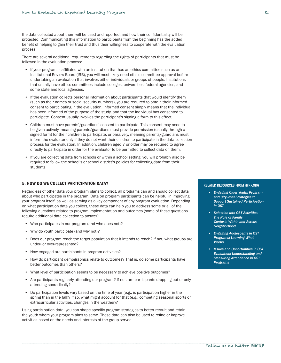<span id="page-26-0"></span>the data collected about them will be used and reported, and how their confidentiality will be protected. Communicating this information to participants from the beginning has the added benefit of helping to gain their trust and thus their willingness to cooperate with the evaluation process.

There are several additional requirements regarding the rights of participants that must be followed in the evaluation process:

- • If your program is affiliated with an institution that has an ethics committee such as an Institutional Review Board (IRB), you will most likely need ethics committee approval before undertaking an evaluation that involves either individuals or groups of people. Institutions that usually have ethics committees include colleges, universities, federal agencies, and some state and local agencies.
- • If the evaluation collects personal information about participants that would identify them (such as their names or social security numbers), you are required to obtain their informed consent to participating in the evaluation. Informed consent simply means that the individual has been informed of the purpose of the study, and that the individual has consented to participate. Consent usually involves the participant's signing a form to this effect.
- Children must have parents'/guardians' consent to participate. This consent may need to be given actively, meaning parents/guardians must provide permission (usually through a signed form) for their children to participate, or passively, meaning parents/guardians must inform the evaluator only if they do not want their children to participate in the data collection process for the evaluation. In addition, children aged 7 or older may be required to agree directly to participate in order for the evaluator to be permitted to collect data on them.
- If you are collecting data from schools or within a school setting, you will probably also be required to follow the school's or school district's policies for collecting data from their students.

## 5. HOW DO WE COLLECT PARTICIPATION DATA?

Regardless of other data your program plans to collect, all programs can and should collect data about who participates in the program. Data on program participants can be helpful in improving your program itself, as well as serving as a key component of any program evaluation. Depending on what participation data you collect, these data can help you to address some or all of the following questions related to program implementation and outcomes (some of these questions require additional data collection to answer):

- Who participates in our program (and who does not)?
- Why do youth participate (and why not)?
- • Does our program reach the target population that it intends to reach? If not, what groups are under- or over-represented?
- How engaged are participants in program activities?
- • How do participant demographics relate to outcomes? That is, do some participants have better outcomes than others?
- • What level of participation seems to be necessary to achieve positive outcomes?
- • Are participants regularly attending our program? If not, are participants dropping out or only attending sporadically?
- • Do participation levels vary based on the time of year (e.g., is participation higher in the spring than in the fall)? If so, what might account for that (e.g., competing seasonal sports or extracurricular activities, changes in the weather)?

Using participation data, you can shape specific program strategies to better recruit and retain the youth whom your program aims to serve. These data can also be used to refine or improve activities based on the needs and interests of the group served.

#### RELATED RESOURCES FROM HFRP.ORG

- *• [Engaging Older Youth: Program](http://hfrp.org/EngagingOlderYouth)  [and City-level Strategies to](http://hfrp.org/EngagingOlderYouth)  [Support Sustained Participation](http://hfrp.org/EngagingOlderYouth)  [in OST](http://hfrp.org/EngagingOlderYouth)*
- **Selection Into OST Activities:** *[The Role of Family](http://www.hfrp.org/out-of-school-time/publications-resources/selection-into-out-of-school-time-activities-the-role-of-family-contexts-within-and-across-neighborhood)  [Contexts Within and Across](http://www.hfrp.org/out-of-school-time/publications-resources/selection-into-out-of-school-time-activities-the-role-of-family-contexts-within-and-across-neighborhood)  [Neighborhood](http://www.hfrp.org/out-of-school-time/publications-resources/selection-into-out-of-school-time-activities-the-role-of-family-contexts-within-and-across-neighborhood)*
- *• [Engaging Adolescents in OST](http://www.hfrp.org/out-of-school-time/publications-resources/engaging-adolescents-in-out-of-school-time-programs-learning-what-works)  [Programs: Learning What](http://www.hfrp.org/out-of-school-time/publications-resources/engaging-adolescents-in-out-of-school-time-programs-learning-what-works)  [Works](http://www.hfrp.org/out-of-school-time/publications-resources/engaging-adolescents-in-out-of-school-time-programs-learning-what-works)*
- *Issues and Opportunities in OST [Evaluation: Understanding and](http://www.hfrp.org/out-of-school-time/publications-resources/understanding-and-measuring-attendance-in-out-of-school-time-programs)  [Measuring Attendance in OST](http://www.hfrp.org/out-of-school-time/publications-resources/understanding-and-measuring-attendance-in-out-of-school-time-programs)  [Programs](http://www.hfrp.org/out-of-school-time/publications-resources/understanding-and-measuring-attendance-in-out-of-school-time-programs)*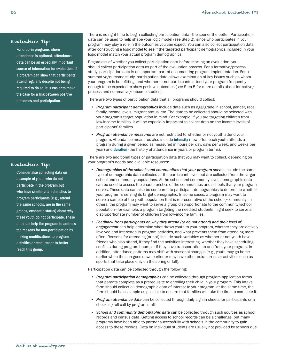## Evaluation Tip:

For drop-in programs where attendance is optional, attendance data can be an especially important source of information for evaluation. If a program can show that participants attend regularly despite not being required to do so, it is easier to make the case for a link between positive outcomes and participation.

## There is no right time to begin collecting participation data—the sooner the better. Participation data can be used to help shape your logic model (see Step 2), since who participates in your program may play a role in the outcomes you can expect. You can also collect participation data after constructing a logic model to see if the targeted participant demographics included in your logic model match your actual program demographics.

Regardless of whether you collect participation data before starting an evaluation, you should collect participation data as part of the evaluation process. For a formative/process study, participation data is an important part of documenting program implementation. For a summative/outcome study, participation data allows examination of key issues such as whom your program is benefitting, and whether or not participants attend your program frequently enough to be expected to show positive outcomes (see Step 5 for more details about formative/ process and summative/outcome studies).

There are two types of participation data that all programs should collect:

- • *Program participant demographics* include data such as age/grade in school, gender, race, family income levels, migrant status, etc. The data to be collected should be selected with your program's target population in mind. For example, if you are targeting children from low-income families, it will be especially important to collect data on the income levels of participants' families.
- • *Program attendance measures* are not restricted to whether or not youth attend your program. Attendance measures also include **[intensity](#page-40-1)** (how often each youth attends a program during a given period as measured in hours per day, days per week, and weeks per year) and **[duration](#page-39-1)** (the history of attendance in years or program terms).

There are two additional types of participation data that you may want to collect, depending on your program's needs and available resources:

- Demographics of the schools and communities that your program serves include the same type of demographic data collected at the participant level, but are collected from the larger school and community populations. At the school and community level, demographic data can be used to assess the characteristics of the communities and schools that your program serves. These data can also be compared to participant demographics to determine whether your program is serving its target demographic. In some cases, a program may want to serve a sample of the youth population that is representative of the school/community. In others, the program may want to serve a group disproportionate to the community/school population—for example, a program targeting the neediest students might seek to serve a disproportionate number of children from low-income families.
- Feedback from participants on why they attend (or do not attend) and their level of *engagement* can help determine what draws youth to your program, whether they are actively involved and interested in program activities, and what prevents them from attending more often. Reasons for attending (or not) include such variables as whether or not youth have friends who also attend, if they find the activities interesting, whether they have scheduling conflicts during program hours, or if they have transportation to and from your program. In addition, attendance patterns may shift with seasonal changes (e.g., youth may go home earlier when the sun goes down earlier or may have other extracurricular activities such as sports that take place only on the spring or fall).

Participation data can be collected through the following:

- • *Program participation demographics* can be collected through program application forms that parents complete as a prerequisite to enrolling their child in your program. This intake form should collect all demographic data of interest to your program; at the same time, the form should be as simple as possible to ensure that families will take the time to complete it.
- • *Program attendance data* can be collected through daily sign-in sheets for participants or a checklist/roll-call by program staff.
- • *School and community demographic data* can be collected through such sources as school records and census data. Getting access to school records can be a challenge, but many programs have been able to partner successfully with schools in the community to gain access to these records. Data on individual students are usually not provided by schools due

# Evaluation Tip:

Consider also collecting data on a sample of youth who do not participate in the program but who have similar characteristics to program participants (e.g., attend the same schools, are in the same grades, economic status) about why these youth do not participate. These data can help the program to address the reasons for non-participation by making modifications to program activities or recruitment to better reach this group.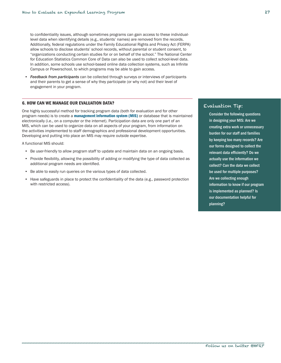<span id="page-28-0"></span>to confidentiality issues, although sometimes programs can gain access to these individuallevel data when identifying details (e.g., students' names) are removed from the records. Additionally, federal regulations under the Family Educational Rights and Privacy Act (FERPA) allow schools to disclose students' school records, without parental or student consent, to "organizations conducting certain studies for or on behalf of the school." The National Center for Education Statistics Common Core of Data can also be used to collect school-level data. In addition, some schools use school-based online data collection systems, such as Infinite Campus or Powerschool, to which programs may be able to gain access.

• *Feedback from participants* can be collected through surveys or interviews of participants and their parents to get a sense of why they participate (or why not) and their level of engagement in your program.

#### 6. HOW CAN WE MANAGE OUR EVALUATION DATA?

One highly successful method for tracking program data (both for evaluation and for other program needs) is to create a [management information system \(MIS\)](#page-40-1) or database that is maintained electronically (i.e., on a computer or the internet). Participation data are only one part of an MIS, which can be used to organize data on all aspects of your program, from information on the activities implemented to staff demographics and professional development opportunities. Developing and putting into place an MIS may require outside expertise.

A functional MIS should:

- • Be user-friendly to allow program staff to update and maintain data on an ongoing basis.
- • Provide flexibility, allowing the possibility of adding or modifying the type of data collected as additional program needs are identified.
- • Be able to easily run queries on the various types of data collected.
- Have safeguards in place to protect the confidentiality of the data (e.g., password protection with restricted access).

## Evaluation Tip:

Consider the following questions in designing your MIS: Are we creating extra work or unnecessary burden for our staff and families by keeping too many records? Are our forms designed to collect the relevant data efficiently? Do we actually use the information we collect? Can the data we collect be used for multiple purposes? Are we collecting enough information to know if our program is implemented as planned? Is our documentation helpful for planning?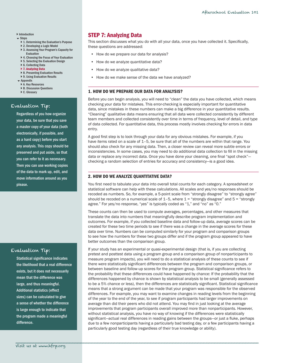## <span id="page-29-0"></span>**[Introduction](#page-2-1)**

- $S$ tens
	- } [1. Determining the Evaluation's Purpose](#page-5-1)
	- ▶ [2. Developing a Logic Model](#page-8-1)
	- ▶ 3. Assessing Your Program's Capacity for [Evaluation](#page-12-1)
	- ▶ 4. Choosing the Focus of Your Evaluation
	- ▶ [5. Selecting the Evaluation Design](#page-18-1)
	- ▶ [6. Collecting Data](#page-23-1)
	- ▶ [7. Analyzing Data](#page-29-1)
	- ▶ [8. Presenting Evaluation Results](#page-31-1) ▶ 9. Using Evaluation Results
- **Exercise**
- ▶ [A. Key Resources](#page-37-1)
- ▶ [B. Discussion Questions](#page-38-1)
- ▶ C. Glossarv

## Evaluation Tip:

Regardless of you how organize your data, be sure that you save a master copy of your data (both electronically, if possible, and as a hard copy) before you start any analysis. This copy should be preserved and put aside, so that you can refer to it as necessary. Then you can use working copies of the data to mark up, edit, and move information around as you please.

# Evaluation Tip:

Statistical significance indicates the likelihood that a real difference exists, but it does not necessarily mean that the difference was large, and thus meaningful. Additional statistics (effect sizes) can be calculated to give a sense of whether the difference is large enough to indicate that the program made a meaningful difference.

# <span id="page-29-1"></span>STEP 7: Analyzing Data

This section discusses what you do with all your data, once you have collected it. Specifically, these questions are addressed:

- How do we prepare our data for analysis?
- • How do we analyze quantitative data?
- How do we analyze qualitative data?
- How do we make sense of the data we have analyzed?

## 1. HOW DO WE PREPARE OUR DATA FOR ANALYSIS?

Before you can begin analysis, you will need to "clean" the data you have collected, which means checking your data for mistakes. This error-checking is especially important for quantitative data, since mistakes in these numbers can make a big difference in your quantitative results. "Cleaning" qualitative data means ensuring that all data were collected consistently by different team members and collected consistently over time in terms of frequency, level of detail, and type of data collected. For quantitative data, this process mostly involves checking for errors in data entry.

A good first step is to look through your data for any obvious mistakes. For example, if you have items rated on a scale of 1-5, be sure that all of the numbers are within that range. You should also check for any missing data. Then, a closer review can reveal more subtle errors or inconsistencies. In some cases, you may need to do additional data collection to fill in the missing data or replace any incorrect data. Once you have done your cleaning, one final "spot check" checking a random selection of entries for accuracy and consistency—is a good idea.

## 2. HOW DO WE ANALYZE QUANTITATIVE DATA?

You first need to tabulate your data into overall total counts for each category. A spreadsheet or statistical software can help with these calculations. All scales and yes/no responses should be recoded as numbers. So, for example, a 5-point scale from "strongly disagree" to "strongly agree" should be recoded on a numerical scale of  $1-5$ , where  $1 =$  "strongly disagree" and  $5 =$  "strongly agree." For yes/no response, "yes" is typically coded as "1," and "no" as "0."

These counts can then be used to compute averages, percentages, and other measures that translate the data into numbers that meaningfully describe program implementation and outcomes. For example, if you collected baseline data and follow-up data, average scores can be created for these two time periods to see if there was a change in the average scores for these data over time. Numbers can be computed similarly for your program and comparison groups to see how the numbers for these two groups differ and if the program group appeared to have better outcomes than the comparison group.

If your study has an experimental or quasi-experimental design (that is, if you are collecting pretest and posttest data using a program group and a comparison group of nonparticipants to measure program impacts), you will need to do a statistical analysis of these counts to see if there were statistically significant differences between the program and comparison groups, or between baseline and follow-up scores for the program group. Statistical significance refers to the probability that these differences could have happened by chance: If the probability that the differences happened by chance is shown by statistical analysis to be small (generally assessed to be a 5% chance or less), then the differences are statistically significant. Statistical significance means that a strong argument can be made that your program was responsible for the observed differences. For example, you may want to examine changes in reading levels from the beginning of the year to the end of the year, to see if program participants had larger improvements on average than did their peers who did not attend. You may find in just looking at the average improvements that program participants overall improved more than nonparticipants. However, without statistical analysis, you have no way of knowing if the differences were statistically significant—actual real differences in reading gains between the groups—or just a fluke, perhaps due to a few nonparticipants having a particularly bad testing day, or a few participants having a particularly good testing day (regardless of their true knowledge or ability).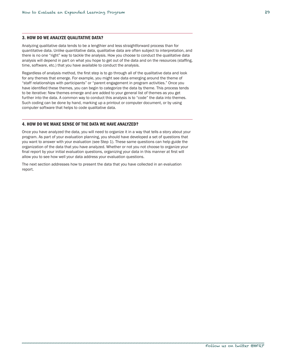## <span id="page-30-0"></span>3. HOW DO WE ANALYZE QUALITATIVE DATA?

Analyzing qualitative data tends to be a lengthier and less straightforward process than for quantitative data. Unlike quantitative data, qualitative data are often subject to interpretation, and there is no one "right" way to tackle the analysis. How you choose to conduct the qualitative data analysis will depend in part on what you hope to get out of the data and on the resources (staffing, time, software, etc.) that you have available to conduct the analysis.

Regardless of analysis method, the first step is to go through all of the qualitative data and look for any themes that emerge. For example, you might see data emerging around the theme of "staff relationships with participants" or "parent engagement in program activities." Once you have identified these themes, you can begin to categorize the data by theme. This process tends to be iterative: New themes emerge and are added to your general list of themes as you get further into the data. A common way to conduct this analysis is to "code" the data into themes. Such coding can be done by hand, marking up a printout or computer document, or by using computer software that helps to code qualitative data.

## 4. HOW DO WE MAKE SENSE OF THE DATA WE HAVE ANALYZED?

Once you have analyzed the data, you will need to organize it in a way that tells a story about your program. As part of your evaluation planning, you should have developed a set of questions that you want to answer with your evaluation (see Step 1). These same questions can help guide the organization of the data that you have analyzed. Whether or not you not choose to organize your final report by your initial evaluation questions, organizing your data in this manner at first will allow you to see how well your data address your evaluation questions.

The next section addresses how to present the data that you have collected in an evaluation report.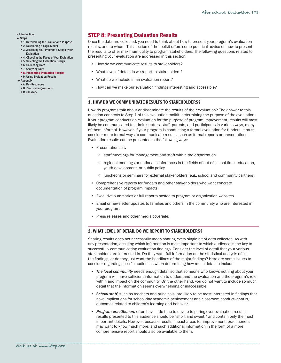## <span id="page-31-0"></span>**[Introduction](#page-2-1)**

- $S$ tens
	- } [1. Determining the Evaluation's Purpose](#page-5-1)
	- } [2. Developing a Logic Model](#page-8-1)
	- ▶ 3. Assessing Your Program's Capacity for [Evaluation](#page-12-1)
	- ▶ 4. Choosing the Focus of Your Evaluation
	- ▶ [5. Selecting the Evaluation Design](#page-18-1)
	- ▶ [6. Collecting Data](#page-23-1)
	- ▶ [7. Analyzing Data](#page-29-1)
	- ▶ [8. Presenting Evaluation Results](#page-31-1) ▶ 9. Using Evaluation Results
- [Appendix](#page-37-1)
- ▶ [A. Key Resources](#page-37-1)
- ▶ [B. Discussion Questions](#page-38-1)
- ▶ [C. Glossary](#page-39-2)

# <span id="page-31-1"></span>STEP 8: Presenting Evaluation Results

Once the data are collected, you need to think about how to present your program's evaluation results, and to whom. This section of the toolkit offers some practical advice on how to present the results to offer maximum utility to program stakeholders. The following questions related to presenting your evaluation are addressed in this section:

- How do we communicate results to stakeholders?
- What level of detail do we report to stakeholders?
- What do we include in an evaluation report?
- How can we make our evaluation findings interesting and accessible?

## 1. HOW DO WE COMMUNICATE RESULTS TO STAKEHOLDERS?

How do programs talk about or disseminate the results of their evaluation? The answer to this question connects to Step 1 of this evaluation toolkit: determining the purpose of the evaluation. If your program conducts an evaluation for the purpose of program improvement, results will most likely be communicated to administrators, staff, parents, and participants in various ways, many of them informal. However, if your program is conducting a formal evaluation for funders, it must consider more formal ways to communicate results, such as formal reports or presentations. Evaluation results can be presented in the following ways:

- • Presentations at:
	- staff meetings for management and staff within the organization.
	- regional meetings or national conferences in the fields of out-of-school time, education, youth development, or public policy.
	- luncheons or seminars for external stakeholders (e.g., school and community partners).
- • Comprehensive reports for funders and other stakeholders who want concrete documentation of program impacts.
- Executive summaries or full reports posted to program or organization websites.
- • Email or newsletter updates to families and others in the community who are interested in your program.
- • Press releases and other media coverage.

#### 2. WHAT LEVEL OF DETAIL DO WE REPORT TO STAKEHOLDERS?

Sharing results does not necessarily mean sharing every single bit of data collected. As with any presentation, deciding which information is most important to which audience is the key to successfully communicating evaluation findings. Consider the level of detail that your various stakeholders are interested in. Do they want full information on the statistical analysis of all the findings, or do they just want the headlines of the major findings? Here are some issues to consider regarding specific audiences when determining how much detail to include:

- The local community needs enough detail so that someone who knows nothing about your program will have sufficient information to understand the evaluation and the program's role within and impact on the community. On the other hand, you do not want to include so much detail that the information seems overwhelming or inaccessible.
- **School staff**, such as teachers and principals, are likely to be most interested in findings that have implications for school-day academic achievement and classroom conduct—that is, outcomes related to children's learning and behavior.
- • *Program practitioners* often have little time to devote to poring over evaluation results; results presented to this audience should be "short and sweet," and contain only the most important details. However, because results impact areas for improvement, practitioners may want to know much more, and such additional information in the form of a more comprehensive report should also be available to them.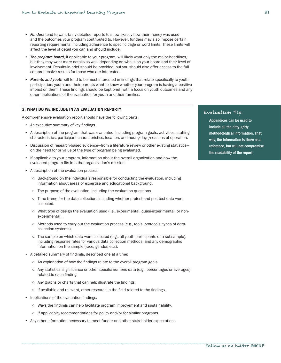- <span id="page-32-0"></span>• *Funders* tend to want fairly detailed reports to show exactly how their money was used and the outcomes your program contributed to. However, funders may also impose certain reporting requirements, including adherence to specific page or word limits. These limits will affect the level of detail you can and should include.
- **The program board**, if applicable to your program, will likely want only the major headlines, but they may want more details as well, depending on who is on your board and their level of involvement. Results-in-brief should be provided, but you should also offer access to the full comprehensive results for those who are interested.
- • *Parents and youth* will tend to be most interested in findings that relate specifically to youth participation; youth and their parents want to know whether your program is having a positive impact on them. These findings should be kept brief, with a focus on youth outcomes and any other implications of the evaluation for youth and their families.

## 3. WHAT DO WE INCLUDE IN AN EVALUATION REPORT?

A comprehensive evaluation report should have the following parts:

- • An executive summary of key findings.
- A description of the program that was evaluated, including program goals, activities, staffing characteristics, participant characteristics, location, and hours/days/seasons of operation.
- Discussion of research-based evidence—from a literature review or other existing statistics on the need for or value of the type of program being evaluated.
- • If applicable to your program, information about the overall organization and how the evaluated program fits into that organization's mission.
- • A description of the evaluation process:
	- Background on the individuals responsible for conducting the evaluation, including information about areas of expertise and educational background.
	- The purpose of the evaluation, including the evaluation questions.
	- Time frame for the data collection, including whether pretest and posttest data were collected.
	- What type of design the evaluation used (i.e., experimental, quasi-experimental, or nonexperimental).
	- Methods used to carry out the evaluation process (e.g., tools, protocols, types of datacollection systems).
	- $\circ$  The sample on which data were collected (e.g., all youth participants or a subsample), including response rates for various data collection methods, and any demographic information on the sample (race, gender, etc.).
- • A detailed summary of findings, described one at a time:
	- An explanation of how the findings relate to the overall program goals.
	- Any statistical significance or other specific numeric data (e.g., percentages or averages) related to each finding.
	- Any graphs or charts that can help illustrate the findings.
	- If available and relevant, other research in the field related to the findings.
- Implications of the evaluation findings:
	- Ways the findings can help facilitate program improvement and sustainability.
	- If applicable, recommendations for policy and/or for similar programs.
- • Any other information necessary to meet funder and other stakeholder expectations.

## Evaluation Tip:

Appendices can be used to include all the nitty-gritty methodological information. That way, the information is there as a reference, but will not compromise the readability of the report.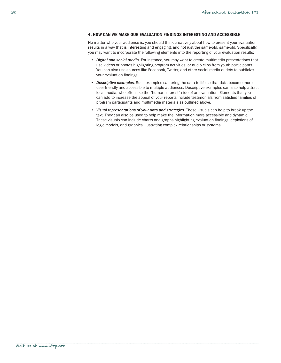#### <span id="page-33-0"></span>4. HOW CAN WE MAKE OUR EVALUATION FINDINGS INTERESTING AND ACCESSIBLE

No matter who your audience is, you should think creatively about how to present your evaluation results in a way that is interesting and engaging, and not just the same-old, same-old. Specifically, you may want to incorporate the following elements into the reporting of your evaluation results:

- • *Digital and social media.* For instance, you may want to create multimedia presentations that use videos or photos highlighting program activities, or audio clips from youth participants. You can also use sources like Facebook, Twitter, and other social media outlets to publicize your evaluation findings.
- • *Descriptive examples.* Such examples can bring the data to life so that data become more user-friendly and accessible to multiple audiences. Descriptive examples can also help attract local media, who often like the "human interest" side of an evaluation. Elements that you can add to increase the appeal of your reports include testimonials from satisfied families of program participants and multimedia materials as outlined above.
- • *Visual representations of your data and strategies.* These visuals can help to break up the text. They can also be used to help make the information more accessible and dynamic. These visuals can include charts and graphs highlighting evaluation findings, depictions of logic models, and graphics illustrating complex relationships or systems.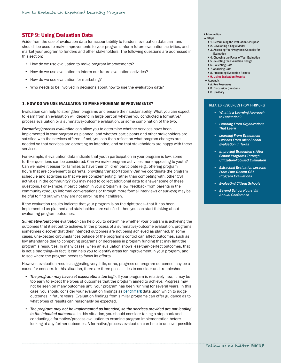# <span id="page-34-1"></span><span id="page-34-0"></span>STEP 9: Using Evaluation Data

Aside from the use of evaluation data for accountability to funders, evaluation data can—and should—be used to make improvements to your program, inform future evaluation activities, and market your program to funders and other stakeholders. The following questions are addressed in this section:

- How do we use evaluation to make program improvements?
- How do we use evaluation to inform our future evaluation activities?
- How do we use evaluation for marketing?
- Who needs to be involved in decisions about how to use the evaluation data?

#### 1. HOW DO WE USE EVALUATION TO MAKE PROGRAM IMPROVEMENTS?

Evaluation can help to strengthen programs and ensure their sustainability. What you can expect to learn from an evaluation will depend in large part on whether you conducted a formative/ process evaluation or a summative/outcome evaluation, or some combination of the two.

*Formative/process evaluation* can allow you to determine whether services have been implemented in your program as planned, and whether participants and other stakeholders are satisfied with the services offered. If not, you can then reflect on what program changes are needed so that services are operating as intended, and so that stakeholders are happy with these services.

For example, if evaluation data indicate that youth participation in your program is low, some further questions can be considered: Can we make program activities more appealing to youth? Can we make it easier for families to have their children participate (e.g., offering program hours that are convenient to parents, providing transportation)? Can we coordinate the program schedule and activities so that we are complementing, rather than competing with, other OST activities in the community? You may need to collect additional data to answer some of these questions. For example, if participation in your program is low, feedback from parents in the community (through informal conversations or through more formal interviews or surveys) may be helpful to find out why they are not enrolling their children.

If the evaluation results indicate that your program is on the right track—that it has been implemented as planned and stakeholders are satisfied—then you can start thinking about evaluating program outcomes.

*Summative/outcome evaluation* can help you to determine whether your program is achieving the outcomes that it set out to achieve. In the process of a summative/outcome evaluation, programs sometimes discover that their intended outcomes are not being achieved as planned. In some cases, unexpected circumstances outside of the program's control can affect outcomes, such as low attendance due to competing programs or decreases in program funding that may limit the program's resources. In many cases, when an evaluation shows less-than-perfect outcomes, that is not a bad thing—in fact, it can help you to identify areas for improvement in your program, and to see where the program needs to focus its efforts.

However, evaluation results suggesting very little, or no, progress on program outcomes may be a cause for concern. In this situation, there are three possibilities to consider and troubleshoot:

- • *The program may have set expectations too high*. If your program is relatively new, it may be too early to expect the types of outcomes that the program aimed to achieve. Progress may not be seen on many outcomes until your program has been running for several years. In this case, you should consider your evaluation findings as **[benchmark](#page-39-2)** data upon which to judge outcomes in future years. Evaluation findings from similar programs can offer guidance as to what types of results can reasonably be expected.
- • *The program may not be implemented as intended, so the services provided are not leading to the intended outcomes*. In this situation, you should consider taking a step back and conducting a formative/process evaluation to examine program implementation before looking at any further outcomes. A formative/process evaluation can help to uncover possible
- **[Introduction](#page-2-1)**
- $S$ tens
	- } [1. Determining the Evaluation's Purpose](#page-5-1)
	- } [2. Developing a Logic Model](#page-8-1)
- ▶ 3. Assessing Your Program's Capacity for [Evaluation](#page-12-1)
- ▶ 4. Choosing the Focus of Your Evaluation
- ▶ [5. Selecting the Evaluation Design](#page-18-1)
- ▶ [6. Collecting Data](#page-23-1)
- ▶ [7. Analyzing Data](#page-29-1)
- ▶ [8. Presenting Evaluation Results](#page-31-1) ▶ [9. Using Evaluation Results](#page-34-1)
- 
- [Appendix](#page-37-1) ▶ [A. Key Resources](#page-37-1)
- ▶ B. Discussion Ouestions
- ▶ [C. Glossary](#page-39-2)

#### RELATED RESOURCES FROM HFRP.ORG

- *• [What Is a Learning Approach](http://www.hfrp.org/evaluation/the-evaluation-exchange/issue-archive/evaluation-for-continuous-improvement/what-is-a-learning-approach-to-evaluation)  [to Evaluation?](http://www.hfrp.org/evaluation/the-evaluation-exchange/issue-archive/evaluation-for-continuous-improvement/what-is-a-learning-approach-to-evaluation)*
- *• [Learning From Organizations](http://www.hfrp.org/evaluation/the-evaluation-exchange/issue-archive/evaluating-out-of-school-time-program-quality/learning-from-organizations-that-learn)  [That Learn](http://www.hfrp.org/evaluation/the-evaluation-exchange/issue-archive/evaluating-out-of-school-time-program-quality/learning-from-organizations-that-learn)*
- *• [Learning From Evaluation:](http://www.hfrp.org/evaluation/the-evaluation-exchange/issue-archive/evaluating-out-of-school-time/learning-from-evaluation-lessons-from-after-school-evaluation-in-texas)  [Lessons From After School](http://www.hfrp.org/evaluation/the-evaluation-exchange/issue-archive/evaluating-out-of-school-time/learning-from-evaluation-lessons-from-after-school-evaluation-in-texas)  [Evaluation in Texas](http://www.hfrp.org/evaluation/the-evaluation-exchange/issue-archive/evaluating-out-of-school-time/learning-from-evaluation-lessons-from-after-school-evaluation-in-texas)*
- *• [Improving Bradenton's After](http://www.hfrp.org/evaluation/the-evaluation-exchange/issue-archive/evaluating-out-of-school-time/improving-bradenton-s-after-school-programs-through-utilization-focused-evaluation)  [School Programs Through](http://www.hfrp.org/evaluation/the-evaluation-exchange/issue-archive/evaluating-out-of-school-time/improving-bradenton-s-after-school-programs-through-utilization-focused-evaluation)  [Utilization-Focused Evaluation](http://www.hfrp.org/evaluation/the-evaluation-exchange/issue-archive/evaluating-out-of-school-time/improving-bradenton-s-after-school-programs-through-utilization-focused-evaluation)*
- *• [Extracting Evaluation Lessons](http://www.hfrp.org/evaluation/the-evaluation-exchange/issue-archive/evaluating-out-of-school-time-program-quality/extracting-evaluation-lessons-from-four-recent-out-of-school-time-program-evaluations)  [From Four Recent OST](http://www.hfrp.org/evaluation/the-evaluation-exchange/issue-archive/evaluating-out-of-school-time-program-quality/extracting-evaluation-lessons-from-four-recent-out-of-school-time-program-evaluations)  [Program Evaluations](http://www.hfrp.org/evaluation/the-evaluation-exchange/issue-archive/evaluating-out-of-school-time-program-quality/extracting-evaluation-lessons-from-four-recent-out-of-school-time-program-evaluations)*
- *Evaluating Citizen Schools*
- *• [Beyond School Hours VIII](http://www.hfrp.org/out-of-school-time/publications-resources/beyond-school-hours-viii-annual-conference)  [Annual Conference](http://www.hfrp.org/out-of-school-time/publications-resources/beyond-school-hours-viii-annual-conference)*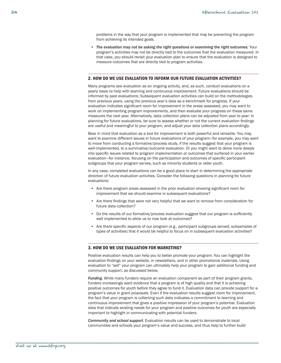<span id="page-35-0"></span>problems in the way that your program is implemented that may be preventing the program from achieving its intended goals.

• The evaluation may not be asking the right questions or examining the right outcomes. Your program's activities may not be directly tied to the outcomes that the evaluation measured. In that case, you should revisit your evaluation plan to ensure that the evaluation is designed to measure outcomes that are directly tied to program activities.

## 2. HOW DO WE USE EVALUATION TO INFORM OUR FUTURE EVALUATION ACTIVITIES?

Many programs see evaluation as an ongoing activity, and, as such, conduct evaluations on a yearly basis to help with learning and continuous improvement. Future evaluations should be informed by past evaluations: Subsequent evaluation activities can build on the methodologies from previous years, using the previous year's data as a benchmark for progress. If your evaluation indicates significant room for improvement in the areas assessed, you may want to work on implementing program improvements, and then evaluate your progress on these same measures the next year. Alternatively, data collection plans can be adjusted from year to year: In planning for future evaluations, be sure to assess whether or not the current evaluation findings are useful and meaningful to your program, and adjust your data collection plans accordingly.

Bear in mind that evaluation as a tool for improvement is both powerful and versatile. You may want to examine different issues in future evaluations of your program—for example, you may want to move from conducting a formative/process study, if the results suggest that your program is well-implemented, to a summative/outcome evaluation. Or you might want to delve more deeply into specific issues related to program implementation or outcomes that surfaced in your earlier evaluation—for instance, focusing on the participation and outcomes of specific participant subgroups that your program serves, such as minority students or older youth.

In any case, completed evaluations can be a good place to start in determining the appropriate direction of future evaluation activities. Consider the following questions in planning for future evaluations:

- • Are there program areas assessed in the prior evaluation showing significant room for improvement that we should examine in subsequent evaluations?
- • Are there findings that were not very helpful that we want to remove from consideration for future data collection?
- • Do the results of our formative/process evaluation suggest that our program is sufficiently well implemented to allow us to now look at outcomes?
- • Are there specific aspects of our program (e.g., participant subgroups served, subsamples of types of activities) that it would be helpful to focus on in subsequent evaluation activities?

#### 3. HOW DO WE USE EVALUATION FOR MARKETING?

\_\_\_\_\_\_\_\_\_\_\_\_\_\_\_\_\_\_\_\_\_\_\_\_\_\_\_\_\_\_\_\_\_\_\_\_\_\_\_\_\_\_\_\_\_\_\_\_\_\_\_\_\_\_\_\_\_\_\_\_\_\_\_\_\_\_\_\_\_\_\_\_\_\_\_\_\_\_\_\_\_\_\_\_\_\_\_

Positive evaluation results can help you to better promote your program: You can highlight the evaluation findings on your website, in newsletters, and in other promotional materials. Using evaluation to "sell" your program can ultimately help your program to gain additional funding and community support, as discussed below.

*Funding*. While many funders require an evaluation component as part of their program grants, funders increasingly want evidence that a program is of high quality and that it is achieving positive outcomes for youth before they agree to fund it. Evaluation data can provide support for a program's value in grant proposals. Even if the evaluation results suggest room for improvement, the fact that your program is collecting such data indicates a commitment to learning and continuous improvement that gives a positive impression of your program's potential. Evaluation data that indicate existing needs for your program and positive outcomes for youth are especially important to highlight in communicating with potential funders.

*Community and school support*. Evaluation results can be used to demonstrate to local communities and schools your program's value and success, and thus help to further build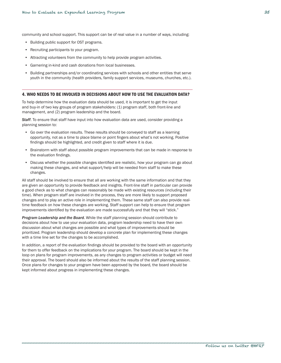<span id="page-36-0"></span>community and school support. This support can be of real value in a number of ways, including:

- • Building public support for OST programs.
- • Recruiting participants to your program.
- • Attracting volunteers from the community to help provide program activities.
- • Garnering in-kind and cash donations from local businesses.
- Building partnerships and/or coordinating services with schools and other entities that serve youth in the community (health providers, family support services, museums, churches, etc.).

#### 4. WHO NEEDS TO BE INVOLVED IN DECISIONS ABOUT HOW TO USE THE EVALUATION DATA?

To help determine how the evaluation data should be used, it is important to get the input and buy-in of two key groups of program stakeholders: (1) program staff, both front-line and management, and (2) program leadership and the board.

*Staff*. To ensure that staff have input into how evaluation data are used, consider providing a planning session to:

- Go over the evaluation results. These results should be conveyed to staff as a learning opportunity, not as a time to place blame or point fingers about what's not working. Positive findings should be highlighted, and credit given to staff where it is due.
- Brainstorm with staff about possible program improvements that can be made in response to the evaluation findings.
- Discuss whether the possible changes identified are realistic, how your program can go about making these changes, and what support/help will be needed from staff to make these changes.

All staff should be involved to ensure that all are working with the same information and that they are given an opportunity to provide feedback and insights. Front-line staff in particular can provide a good check as to what changes can reasonably be made with existing resources (including their time). When program staff are involved in the process, they are more likely to support proposed changes and to play an active role in implementing them. These same staff can also provide realtime feedback on how these changes are working. Staff support can help to ensure that program improvements identified by the evaluation are made successfully and that they will "stick."

*Program Leadership and the Board.* While the staff planning session should contribute to decisions about how to use your evaluation data, program leadership need to have their own discussion about what changes are possible and what types of improvements should be prioritized. Program leadership should develop a concrete plan for implementing these changes with a time line set for the changes to be accomplished.

In addition, a report of the evaluation findings should be provided to the board with an opportunity for them to offer feedback on the implications for your program. The board should be kept in the loop on plans for program improvements, as any changes to program activities or budget will need their approval. The board should also be informed about the results of the staff planning session. Once plans for changes to your program have been approved by the board, the board should be kept informed about progress in implementing these changes.

\_\_\_\_\_\_\_\_\_\_\_\_\_\_\_\_\_\_\_\_\_\_\_\_\_\_\_\_\_\_\_\_\_\_\_\_\_\_\_\_\_\_\_\_\_\_\_\_\_\_\_\_\_\_\_\_\_\_\_\_\_\_\_\_\_\_\_\_\_\_\_\_\_\_\_\_\_\_\_\_\_\_\_\_\_\_\_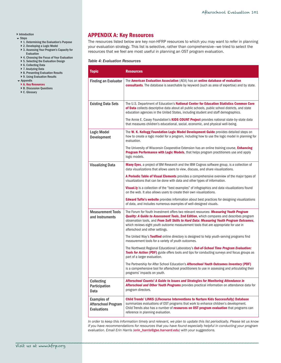## <span id="page-37-0"></span>▶ [Introduction](#page-2-1)

- $\overline{\phantom{a}}$  Steps
	- ▶ [1. Determining the Evaluation's Purpose](#page-5-1)
	- ▶ [2. Developing a Logic Model](#page-8-1)
	- ▶ 3. Assessing Your Program's Capacity for [Evaluation](#page-12-1)
	- ▶ 4. Choosing the Focus of Your Evaluation
	- ▶ [5. Selecting the Evaluation Design](#page-18-1)
	- ▶ [6. Collecting Data](#page-23-1)
	- ▶ [7. Analyzing Data](#page-29-1) ▶ [8. Presenting Evaluation Results](#page-31-1)
	- ▶ 9. Using Evaluation Results
- [Appendix](#page-37-1)
- ▶ [A. Key Resources](#page-37-1) ▶ [B. Discussion Questions](#page-38-1)
- ▶ [C. Glossary](#page-39-2)

# <span id="page-37-1"></span>APPENDIX A: Key Resources

The resources listed below are key non-HFRP resources to which you may want to refer in planning your evaluation strategy. This list is selective, rather than comprehensive—we tried to select the resources that we feel are most useful in planning an OST program evaluation.

#### *Table 4: Evaluation Resources*

| <b>Topic</b>                                                           | <b>Resources</b>                                                                                                                                                                                                                                                                                                                                                                                              |
|------------------------------------------------------------------------|---------------------------------------------------------------------------------------------------------------------------------------------------------------------------------------------------------------------------------------------------------------------------------------------------------------------------------------------------------------------------------------------------------------|
| <b>Finding an Evaluator</b>                                            | The American Evaluation Association (AEA) has an online database of evaluation<br><b>consultants</b> . The database is searchable by keyword (such as area of expertise) and by state.                                                                                                                                                                                                                        |
| <b>Existing Data Sets</b>                                              | The U.S. Department of Education's National Center for Education Statistics Common Core<br>of Data collects descriptive data about all public schools, public school districts, and state<br>education agencies in the United States, including student and staff demographics.                                                                                                                               |
|                                                                        | The Annie E. Casey Foundation's <b>KIDS COUNT Project</b> provides national state-by-state data<br>that measures children's educational, social, economic, and physical well-being.                                                                                                                                                                                                                           |
| <b>Logic Model</b><br>Development                                      | The W. K. Kellogg Foundation Logic Model Development Guide provides detailed steps on<br>how to create a logic model for a program, including how to use the logic model in planning for<br>evaluation.                                                                                                                                                                                                       |
|                                                                        | The University of Wisconsin Cooperative Extension has an online training course, <b>Enhancing</b><br>Program Performance with Logic Models, that helps program practitioners use and apply<br>logic models.                                                                                                                                                                                                   |
| <b>Visualizing Data</b>                                                | <b>Many Eyes,</b> a project of BM Research and the IBM Cognos software group, is a collection of<br>data visualizations that allows users to view, discuss, and share visualizations.                                                                                                                                                                                                                         |
|                                                                        | A Periodic Table of Visual Elements provides a comprehensive overview of the major types of<br>visualizations that can be done with data and other types of information.                                                                                                                                                                                                                                      |
|                                                                        | <b>Visual.ly</b> is a collection of the "best examples" of infographics and data visualizations found<br>on the web. It also allows users to create their own visualizations.                                                                                                                                                                                                                                 |
|                                                                        | <b>Edward Tufte's website</b> provides information about best practices for designing visualizations<br>of data, and includes numerous examples of well-designed visuals.                                                                                                                                                                                                                                     |
| <b>Measurement Tools</b><br>and Instruments                            | The Forum for Youth Investment offers two relevant resources: Measuring Youth Program<br><b>Quality: A Guide to Assessment Tools, 2nd Edition</b> , which compares and describes program<br>observation tools, and From Soft Skills to Hard Data: Measuring Youth Program Outcomes,<br>which reviews eight youth outcome measurement tools that are appropriate for use in<br>afterschool and other settings. |
|                                                                        | The United Way's Toolfind online directory is designed to help youth-serving programs find<br>measurement tools for a variety of youth outcomes.                                                                                                                                                                                                                                                              |
|                                                                        | The Northwest Regional Educational Laboratory's <b>Out-of-School Time Program Evaluation:</b><br><b>Tools for Action (PDF)</b> guide offers tools and tips for conducting surveys and focus groups as<br>part of a larger evaluation.                                                                                                                                                                         |
|                                                                        | The Partnership for After School Education's <b>Afterschool Youth Outcomes Inventory (PDF)</b><br>is a comprehensive tool for afterschool practitioners to use in assessing and articulating their<br>programs' impacts on youth.                                                                                                                                                                             |
| <b>Collecting</b><br>Participation<br>Data                             | Afterschool Counts! A Guide to Issues and Strategies for Monitoring Attendance in<br>Afterschool and Other Youth Programs provides practical information on attendance data for<br>program directors.                                                                                                                                                                                                         |
| <b>Examples of</b><br><b>Afterschool Program</b><br><b>Evaluations</b> | <b>Child Trends' LINKS (Lifecourse Interventions to Nurture Kids Successfully) Database</b><br>summarizes evaluations of OST programs that work to enhance children's development.<br>Child Trends also has a number of resources on OST program evaluation that programs can<br>reference in planning evaluation.                                                                                            |

*In order to keep this information timely and relevant, we plan to update this list periodically. Please let us know if you have recommendations for resources that you have found especially helpful in conducting your program evaluation. Email Erin Harris ([erin\\_harris@gse.harvard.edu](mailto:erin_harris%40gse.harvard.edu?subject=Afterschool%20Evaluation%20101%20Resources)) with your suggestions.*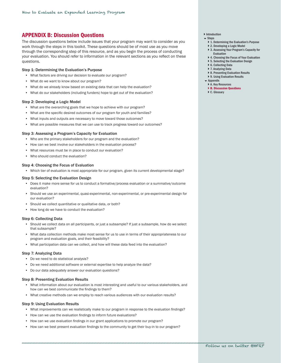# <span id="page-38-1"></span><span id="page-38-0"></span>APPENDIX B: Discussion Questions

The discussion questions below include issues that your program may want to consider as you work through the steps in this toolkit. These questions should be of most use as you move through the corresponding step of this resource, and as you begin the process of conducting your evaluation. You should refer to information in the relevant sections as you reflect on these questions.

#### Step 1: Determining the Evaluation's Purpose

- What factors are driving our decision to evaluate our program?
- What do we want to know about our program?
- What do we already know based on existing data that can help the evaluation?
- What do our stakeholders (including funders) hope to get out of the evaluation?

#### Step 2: Developing a Logic Model

- What are the overarching goals that we hope to achieve with our program?
- What are the specific desired outcomes of our program for youth and families?
- What inputs and outputs are necessary to move toward those outcomes?
- • What are possible measures that we can use to track progress toward our outcomes?

#### Step 3: Assessing a Program's Capacity for Evaluation

- Who are the primary stakeholders for our program and the evaluation?
- How can we best involve our stakeholders in the evaluation process?
- What resources must be in place to conduct our evaluation?
- • Who should conduct the evaluation?

#### Step 4: Choosing the Focus of Evaluation

• Which tier of evaluation is most appropriate for our program, given its current developmental stage?

#### Step 5: Selecting the Evaluation Design

- • Does it make more sense for us to conduct a formative/process evaluation or a summative/outcome evaluation?
- • Should we use an experimental, quasi-experimental, non-experimental, or pre-experimental design for our evaluation?
- Should we collect quantitative or qualitative data, or both?
- How long do we have to conduct the evaluation?

#### Step 6: Collecting Data

- • Should we collect data on all participants, or just a subsample? If just a subsample, how do we select that subsample?
- • What data collection methods make most sense for us to use in terms of their appropriateness to our program and evaluation goals, and their feasibility?
- • What participation data can we collect, and how will these data feed into the evaluation?

#### Step 7: Analyzing Data

- • Do we need to do statistical analysis?
- Do we need additional software or external expertise to help analyze the data?
- • Do our data adequately answer our evaluation questions?

## Step 8: Presenting Evaluation Results

- • What information about our evaluation is most interesting and useful to our various stakeholders, and how can we best communicate the findings to them?
- What creative methods can we employ to reach various audiences with our evaluation results?

## Step 9: Using Evaluation Results

- What improvements can we realistically make to our program in response to the evaluation findings?
- How can we use the evaluation findings to inform future evaluations?
- How can we use evaluation findings in our grant applications to promote our program?
- How can we best present evaluation findings to the community to get their buy-in to our program?
- **[Introduction](#page-2-1)**
- $S$ tens
	- ▶ [1. Determining the Evaluation's Purpose](#page-5-1)
	- ▶ [2. Developing a Logic Model](#page-8-1)
	- ▶ 3. Assessing Your Program's Capacity for [Evaluation](#page-12-1)
	- ▶ 4. Choosing the Focus of Your Evaluation
	- ▶ [5. Selecting the Evaluation Design](#page-18-1)
	- ▶ [6. Collecting Data](#page-23-1)
	- ▶ [7. Analyzing Data](#page-29-1)
	- ▶ [8. Presenting Evaluation Results](#page-31-1)
	- ▶ 9. Using Evaluation Results
- **[Appendix](#page-37-1)**
- ▶ [A. Key Resources](#page-37-1) ▶ [B. Discussion Questions](#page-38-1)
- 
- ▶ [C. Glossary](#page-39-2)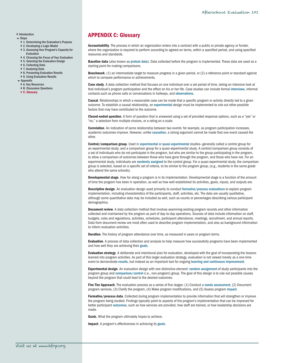## <span id="page-39-0"></span>**[Introduction](#page-2-1)**

- $S$ tens
	- } [1. Determining the Evaluation's Purpose](#page-5-1)
	- } [2. Developing a Logic Model](#page-8-1)
	- ▶ 3. Assessing Your Program's Capacity for [Evaluation](#page-12-1)
	- ▶ 4. Choosing the Focus of Your Evaluation
	- ▶ [5. Selecting the Evaluation Design](#page-18-1)
	- ▶ [6. Collecting Data](#page-23-1)
	- ▶ [7. Analyzing Data](#page-29-1)
	- ▶ [8. Presenting Evaluation Results](#page-31-1)
	- ▶ 9. Using Evaluation Results
- [Appendix](#page-37-1)
- ▶ [A. Key Resources](#page-37-1) ▶ [B. Discussion Questions](#page-38-1)
- ▶ [C. Glossary](#page-39-2)

# <span id="page-39-2"></span>APPENDIX C: Glossary

Accountability. The process in which an organization enters into a contract with a public or private agency or funder, where the organization is required to perform according to agreed-on terms, within a specified period, and using specified resources and standards.

Baseline data (also known as [pretest data](#page-40-0)). Data collected before the program is implemented. These data are used as a starting point for making comparisons.

Benchmark. (1) an intermediate target to measure progress in a given period, or (2) a reference point or standard against which to compare performance or achievements.

Case study. A data collection method that focuses on one individual over a set period of time, taking an intensive look at that individual's program participation and the effect on his or her life. Case studies can include formal [interviews](#page-40-1), informal contacts such as phone calls or conversations in hallways, and [observations](#page-40-0).

Causal. Relationships in which a reasonable case can be made that a specific program or activity directly led to a given outcome. To establish a causal relationship, an [experimental](#page-39-1) design must be implemented to rule out other possible factors that may have contributed to the outcome.

Closed-ended question. A form of question that is answered using a set of provided response options, such as a "yes" or "no," a selection from multiple choices, or a rating on a scale.

Correlation. An indication of some relationship between two events: for example, as program participation increases, academic outcomes improve. However, unlike [causation](#page-39-2), a strong argument cannot be made that one event caused the other.

Control/comparison group. Used in [experimental](#page-39-1) or [quasi-experimental](#page-41-1) studies—generally called a control group for an experimental study, and a comparison group for a quasi-experimental study. A control/comparison group consists of a set of individuals who do not participate in the program, but who are similar to the group participating in the program, to allow a comparison of outcomes between those who have gone through the program, and those who have not. For an experimental study, individuals are [randomly assigned](#page-41-0) to the control group. For a quasi-experimental study, the comparison group is selected, based on a specific set of criteria, to be similar to the program group, (e.g., students in the same grade who attend the same schools).

Developmental stage. How far along a program is in its implementation. Developmental stage is a function of the amount of time the program has been in operation, as well as how well-established its activities, goals, inputs, and outputs are.

<span id="page-39-1"></span>Descriptive design. An evaluation design used primarily to conduct [formative/process evaluations](#page-39-1) to explain program implementation, including characteristics of the participants, staff, activities, etc. The data are usually qualitative, although some quantitative data may be included as well, such as counts or percentages describing various participant demographics.

**Document review.** A data collection method that involves examining existing program records and other information collected and maintained by the program as part of day-to-day operations. Sources of data include information on staff, budgets, rules and regulations, activities, schedules, participant attendance, meetings, recruitment, and annual reports. Data from document review are most often used to describe program implementation, and also as background information to inform evaluation activities.

**Duration**. The history of program attendance over time, as measured in years or program terms.

Evaluation. A process of data collection and analysis to help measure how successfully programs have been implemented and how well they are achieving their [goals](#page-39-1).

Evaluation strategy. A deliberate and intentional plan for evaluation, developed with the goal of incorporating the lessons learned into program activities. As part of this larger evaluation strategy, evaluation is not viewed merely as a one-time event to demonstrate [results](#page-41-0), but instead as an important tool for ongoing [learning and continuous improvement](#page-40-1).

Experimental design. An evaluation design with one distinctive element: random assignment of study participants into the program group and [comparison/control](#page-39-2) (i.e., non-program) group. The goal of this design is to rule out possible causes beyond the program that could lead to the desired outcomes.

Five Tier Approach. The evaluation process as a series of five stages: (1) Conduct a [needs assessment](#page-40-0), (2) Document program services, (3) Clarify the program, (4) Make program modifications, and (5) Assess program [impact](#page-40-0).

Formative/process data. Collected during program implementation to provide information that will strengthen or improve the program being studied. Findings typically point to aspects of the program's implementation that can be improved for better participant [outcomes](#page-40-0), such as how services are provided, how staff are trained, or how leadership decisions are made.

Goals. What the program ultimately hopes to achieve.

Impact. A program's effectiveness in achieving its [goals](#page-39-1).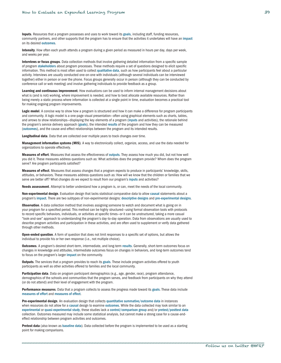<span id="page-40-1"></span>Inputs. Resources that a program possesses and uses to work toward its [goals](#page-39-1), including staff, funding resources, community partners, and other supports that the program has to ensure that the activities it undertakes will have an [impact](#page-39-1) on its desired [outcomes](#page-40-0).

Intensity. How often each youth attends a program during a given period as measured in hours per day, days per week, and weeks per year.

Interviews or focus groups. Data collection methods that involve gathering detailed information from a specific sample of program [stakeholders](#page-42-0) about program processes. These methods require a set of questions designed to elicit specific information. This method is most often used to collect [qualitative data](#page-41-1), such as how participants feel about a particular activity. Interviews are usually conducted one-on-one with individuals (although several individuals can be interviewed together) either in person or over the phone. Focus groups generally occur in person (although they can be conducted by conference call or web meeting) and involve gathering individuals to provide feedback as a group.

Learning and continuous improvement. How evaluations can be used to inform internal management decisions about what is (and is not) working, where improvement is needed, and how to best allocate available resources. Rather than being merely a static process where information is collected at a single point in time, evaluation becomes a practical tool for making ongoing program improvements.

Logic model. A concise way to show how a program is structured and how it can make a difference for program participants and community. A logic model is a one-page visual presentation—often using graphical elements such as charts, tables, and arrows to show relationships—displaying the key elements of a program ([inputs](#page-40-1) and activities), the rationale behind the program's service delivery approach ([goals](#page-39-1)), the intended [results](#page-41-0) of the program and how they can be measured ([outcomes](#page-40-0)), and the cause-and-effect relationships between the program and its intended results.

Longitudinal data. Data that are collected over multiple years to track changes over time.

Management information systems (MIS). A way to electronically collect, organize, access, and use the data needed for organizations to operate effectively.

Measures of effort. Measures that assess the effectiveness of outputs. They assess how much you did, but not how well you did it. These measures address questions such as: What activities does the program provide? Whom does the program serve? Are program participants satisfied?

<span id="page-40-0"></span>Measures of effect. Measures that assess changes that a program expects to produce in participants' knowledge, skills, attitudes, or behaviors. These measures address questions such as: How will we know that the children or families that we serve are better off? What changes do we expect to result from our program's [inputs](#page-40-1) and activities?

Needs assessment. Attempt to better understand how a program is, or can, meet the needs of the local community.

Non-experimental design. Evaluation design that lacks statistical comparative data to allow [causal](#page-39-2) statements about a program's [impact](#page-39-1). There are two subtypes of non-experimental designs: [descriptive designs](#page-39-1) and [pre-experimental designs](#page-40-0).

Observation. A data collection method that involves assigning someone to watch and document what is going on in your program for a specified period. This method can be highly structured—using formal observation tools with protocols to record specific behaviors, individuals, or activities at specific times—or it can be unstructured, taking a more casual "look-and-see" approach to understanding the program's day-to-day operation. Data from observations are usually used to describe program activities and participation in these activities, and are often used to supplement or verify data gathered through other methods.

Open-ended question. A form of question that does not limit responses to a specific set of options, but allows the individual to provide his or her own response (i.e., not multiple choice).

Outcomes. A program's desired short-term, intermediate, and long-term [results](#page-41-0). Generally, short-term outcomes focus on changes in knowledge and attitudes, intermediate outcomes focus on changes in behaviors, and long-term outcomes tend to focus on the program's larger [impact](#page-39-1) on the community.

Outputs. The services that a program provides to reach its [goals](#page-39-1). These include program activities offered to youth participants as well as other activities offered to families and the local community.

Participation data. Data on program participant demographics (e.g., age, gender, race), program attendance, demographics of the schools and communities that the program serves, and feedback from participants on why they attend (or do not attend) and their level of engagement with the program.

Performance measures. Data that a program collects to assess the progress made toward its [goals](#page-39-1). These data include [measures of effort](#page-40-1) and [measures of effect](#page-40-0).

Pre-experimental design. An evaluation design that collects [quantitative summative/outcome data](#page-41-1) in instances when resources do not allow for a [causal](#page-39-2) design to examine [outcomes](#page-40-0). While the data collected may look similar to an [experimental](#page-39-1) or [quasi-experimental study](#page-41-1), these studies lack a [control/comparison group](#page-39-2) and/or [pretest](#page-40-0)[/posttest data](#page-41-1) collection. Outcomes measured may include some statistical analysis, but cannot make a strong case for a cause-andeffect relationship between program activities and outcomes.

Pretest data (also known as [baseline data](#page-39-2)). Data collected before the program is implemented to be used as a starting point for making comparisons.

\_\_\_\_\_\_\_\_\_\_\_\_\_\_\_\_\_\_\_\_\_\_\_\_\_\_\_\_\_\_\_\_\_\_\_\_\_\_\_\_\_\_\_\_\_\_\_\_\_\_\_\_\_\_\_\_\_\_\_\_\_\_\_\_\_\_\_\_\_\_\_\_\_\_\_\_\_\_\_\_\_\_\_\_\_\_\_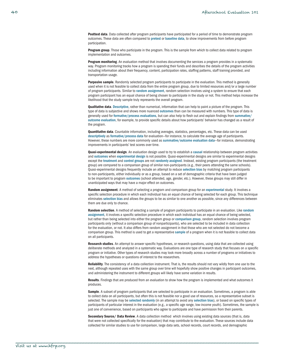<span id="page-41-1"></span>Posttest data. Data collected after program participants have participated for a period of time to demonstrate program outcomes. These data are often compared to [pretest](#page-40-0) or [baseline data](#page-39-2), to show improvements from before program participation.

Program group. Those who participate in the program. This is the sample from which to collect data related to program implementation and outcomes.

Program monitoring. An evaluation method that involves documenting the services a program provides in a systematic way. Program monitoring tracks how a program is spending their funds and describes the details of the program activities including information about their frequency, content, participation rates, staffing patterns, staff training provided, and transportation usage.

Purposive sample. Randomly selected program participants to participate in the evaluation. This method is generally used when it is not feasible to collect data from the entire program group, due to limited resources and/or a large number of program participants. Similar to [random assignment](#page-41-0), random selection involves using a system to ensure that each program participant has an equal chance of being chosen to participate in the study or not. This method helps increase the likelihood that the study sample truly represents the overall program.

**Qualitative data**. [Descriptive](#page-39-1), rather than numerical, information that can help to paint a picture of the program. This type of data is subjective and shows more nuanced [outcomes](#page-40-0) than can be measured with numbers. This type of data is generally used for [formative/process evaluations](#page-39-1), but can also help to flesh out and explain findings from [summative/](#page-42-0) [outcome evaluation](#page-42-0), for example, to provide specific details about how participants' behavior has changed as a result of the program.

Quantitative data. Countable information, including averages, statistics, percentages, etc. These data can be used [descriptively](#page-41-1) as [formative/process data](#page-39-1) for evaluation—for instance, to calculate the average age of participants. However, these numbers are more commonly used as [summative/outcome evaluation data](#page-42-0)—for instance, demonstrating improvements in participants' test scores over time.

Quasi-experimental design. An evaluation design used to try to establish a [causal](#page-39-2) relationship between program activities and [outcomes](#page-40-0) when [experimental design](#page-39-1) is not possible. Quasi-experimental designs are similar to experimental designs except the [treatment](#page-42-0) and [control groups](#page-39-2) are not [randomly assigned](#page-41-1). Instead, existing program participants (the treatment group) are compared to a comparison group of similar non-participants (e.g., their peers attending the same schools). Quasi-experimental designs frequently include an attempt to reduce [selection bias](#page-42-0) by matching program participants to non-participants, either individually or as a group, based on a set of demographic criteria that have been judged to be important to program [outcomes](#page-40-0) (school attended, age, gender, etc.). However, these groups may still differ in unanticipated ways that may have a major effect on outcomes.

<span id="page-41-0"></span>Random assignment. A method of selecting a program and comparison group for an [experimental](#page-39-1) study. It involves a specific selection procedure in which each individual has an equal chance of being selected for each group. This technique eliminates [selection bias](#page-42-0) and allows the groups to be as similar to one another as possible, since any differences between them are due only to chance.

Random selection. A method of selecting a sample of program participants to participate in an evaluation. Like random [assignment](#page-41-0), it involves a specific selection procedure in which each individual has an equal chance of being selected, but rather than being selected into either the program group or [comparison group](#page-39-2), random selection involves program participants only (without a comparison group of nonparticipants), who are selected to be included in data collection for the evaluation, or not. It also differs from random assignment in that those who are not selected do not become a comparison group. This method is used to get a representative [sample](#page-41-0) of a program when it is not feasible to collect data on all participants.

Research studies. An attempt to answer specific hypotheses, or research questions, using data that are collected using deliberate methods and analyzed in a systematic way. Evaluations are one type of research study that focuses on a specific program or initiative. Other types of research studies may look more broadly across a number of programs or initiatives to address the hypotheses or questions of interest to the researchers.

Reliability. The consistency of a data collection instrument. That is, the results should not vary wildly from one use to the next, although repeated uses with the same group over time will hopefully show positive changes in participant outcomes, and administering the instrument to different groups will likely have some variation in results.

Results. Findings that are produced from an evaluation to show how the program is implemented and what outcomes it produces.

Sample. A subset of program participants that are selected to participate in an evaluation. Sometimes, a program is able to collect data on all participants, but often this is not feasible nor a good use of resources, so a representative subset is selected. The sample may be [selected randomly](#page-41-0) (in an attempt to avoid any [selection bias](#page-42-0)), or based on specific types of participants of particular interest in the evaluation (e.g., a specific age range, low-income youth). Sometimes, the sample is just one of convenience, based on participants who agree to participate and have permission from their parents.

Secondary Source/ Data Review. A data collection method which involves using existing data sources (that is, data that were not collected specifically for the evaluation) that may contribute to the evaluation. These sources include data collected for similar studies to use for comparison, large data sets, school records, court records, and demographic

\_\_\_\_\_\_\_\_\_\_\_\_\_\_\_\_\_\_\_\_\_\_\_\_\_\_\_\_\_\_\_\_\_\_\_\_\_\_\_\_\_\_\_\_\_\_\_\_\_\_\_\_\_\_\_\_\_\_\_\_\_\_\_\_\_\_\_\_\_\_\_\_\_\_\_\_\_\_\_\_\_\_\_\_\_\_\_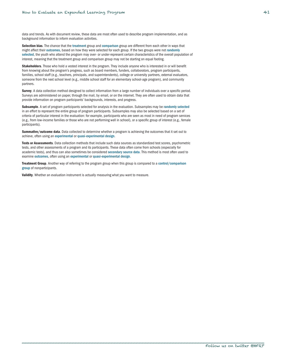data and trends. As with document review, these data are most often used to describe program implementation, and as background information to inform evaluation activities.

<span id="page-42-0"></span>Selection bias. The chance that the [treatment](#page-42-0) group and [comparison](#page-39-2) group are different from each other in ways that might affect their [outcomes](#page-40-0), based on how they were selected for each group. If the two groups were not [randomly](#page-41-0)  [selected](#page-41-0), the youth who attend the program may over- or under-represent certain characteristics of the overall population of interest, meaning that the treatment group and comparison group may not be starting on equal footing.

Stakeholders. Those who hold a vested interest in the program. They include anyone who is interested in or will benefit from knowing about the program's progress, such as board members, funders, collaborators, program participants, families, school staff (e.g., teachers, principals, and superintendents), college or university partners, external evaluators, someone from the next school level (e.g., middle school staff for an elementary school-age program), and community partners.

Survey. A data collection method designed to collect information from a large number of individuals over a specific period. Surveys are administered on paper, through the mail, by email, or on the internet. They are often used to obtain data that provide information on program participants' backgrounds, interests, and progress.

Subsample. A set of program participants selected for analysis in the evaluation. Subsamples may be [randomly selected](#page-41-0) in an effort to represent the entire group of program participants. Subsamples may also be selected based on a set of criteria of particular interest in the evaluation: for example, participants who are seen as most in need of program services (e.g., from low-income families or those who are not performing well in school), or a specific group of interest (e.g., female participants).

Summative/outcome data. Data collected to determine whether a program is achieving the outcomes that it set out to achieve, often using an [experimental](#page-39-1) or [quasi-experimental design](#page-41-1).

Tests or Assessments. Data collection methods that include such data sources as standardized test scores, psychometric tests, and other assessments of a program and its participants. These data often come from schools (especially for academic tests), and thus can also sometimes be considered [secondary source data](#page-41-0). This method is most often used to examine [outcomes](#page-40-0), often using an [experimental](#page-39-1) or [quasi-experimental design](#page-41-1).

Treatment Group. Another way of referring to the program group when this group is compared to a control/comparison [group](#page-39-2) of nonparticipants.

Validity. Whether an evaluation instrument is actually measuring what you want to measure.